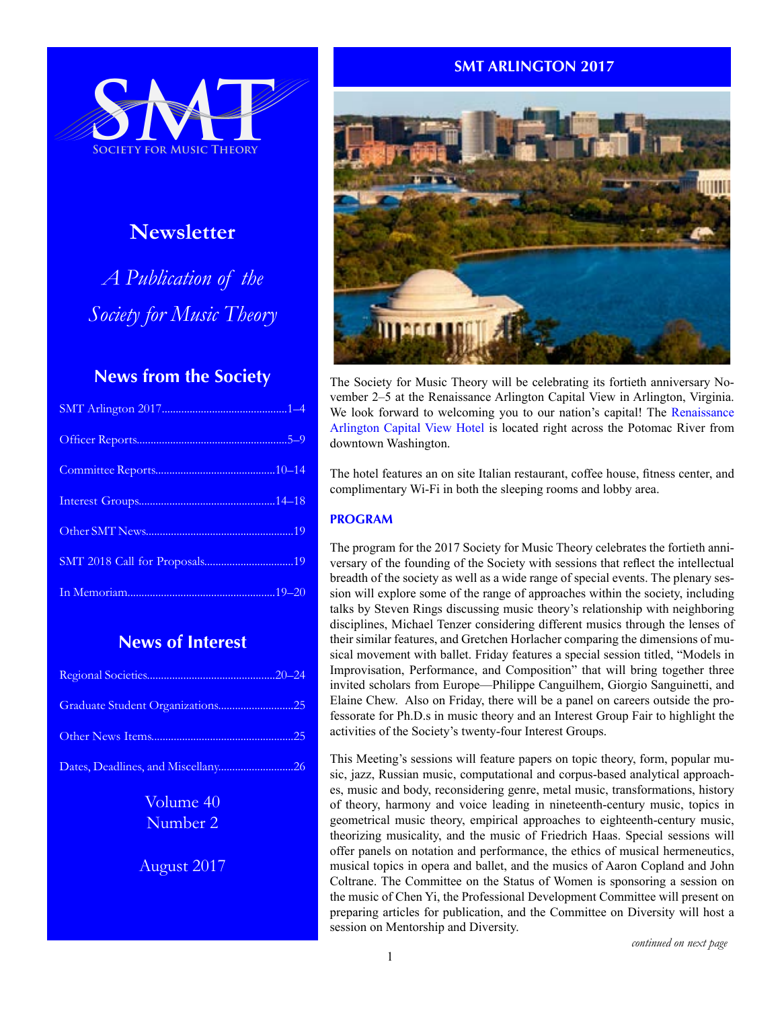

# **Newsletter**

*A Publication of the Society for Music Theory*

# **News from the Society**

# **News of Interest**

| Graduate Student Organizations25   |  |
|------------------------------------|--|
|                                    |  |
| Dates, Deadlines, and Miscellany26 |  |

Volume 40 Number 2

August 2017

# **SMT ARLINGTON 2017**



The Society for Music Theory will be celebrating its fortieth anniversary November 2–5 at the Renaissance Arlington Capital View in Arlington, Virginia. We look forward to welcoming you to our nation's capital! The [Renaissance](https://renaissance-hotels.marriott.com/renaissance-arlington-capital-view-hotel)  [Arlington Capital View Hotel](https://renaissance-hotels.marriott.com/renaissance-arlington-capital-view-hotel) is located right across the Potomac River from downtown Washington.

The hotel features an on site Italian restaurant, coffee house, fitness center, and complimentary Wi-Fi in both the sleeping rooms and lobby area.

# **PROGRAM**

The program for the 2017 Society for Music Theory celebrates the fortieth anniversary of the founding of the Society with sessions that reflect the intellectual breadth of the society as well as a wide range of special events. The plenary session will explore some of the range of approaches within the society, including talks by Steven Rings discussing music theory's relationship with neighboring disciplines, Michael Tenzer considering different musics through the lenses of their similar features, and Gretchen Horlacher comparing the dimensions of musical movement with ballet. Friday features a special session titled, "Models in Improvisation, Performance, and Composition" that will bring together three invited scholars from Europe—Philippe Canguilhem, Giorgio Sanguinetti, and Elaine Chew. Also on Friday, there will be a panel on careers outside the professorate for Ph.D.s in music theory and an Interest Group Fair to highlight the activities of the Society's twenty-four Interest Groups.

This Meeting's sessions will feature papers on topic theory, form, popular music, jazz, Russian music, computational and corpus-based analytical approaches, music and body, reconsidering genre, metal music, transformations, history of theory, harmony and voice leading in nineteenth-century music, topics in geometrical music theory, empirical approaches to eighteenth-century music, theorizing musicality, and the music of Friedrich Haas. Special sessions will offer panels on notation and performance, the ethics of musical hermeneutics, musical topics in opera and ballet, and the musics of Aaron Copland and John Coltrane. The Committee on the Status of Women is sponsoring a session on the music of Chen Yi, the Professional Development Committee will present on preparing articles for publication, and the Committee on Diversity will host a session on Mentorship and Diversity.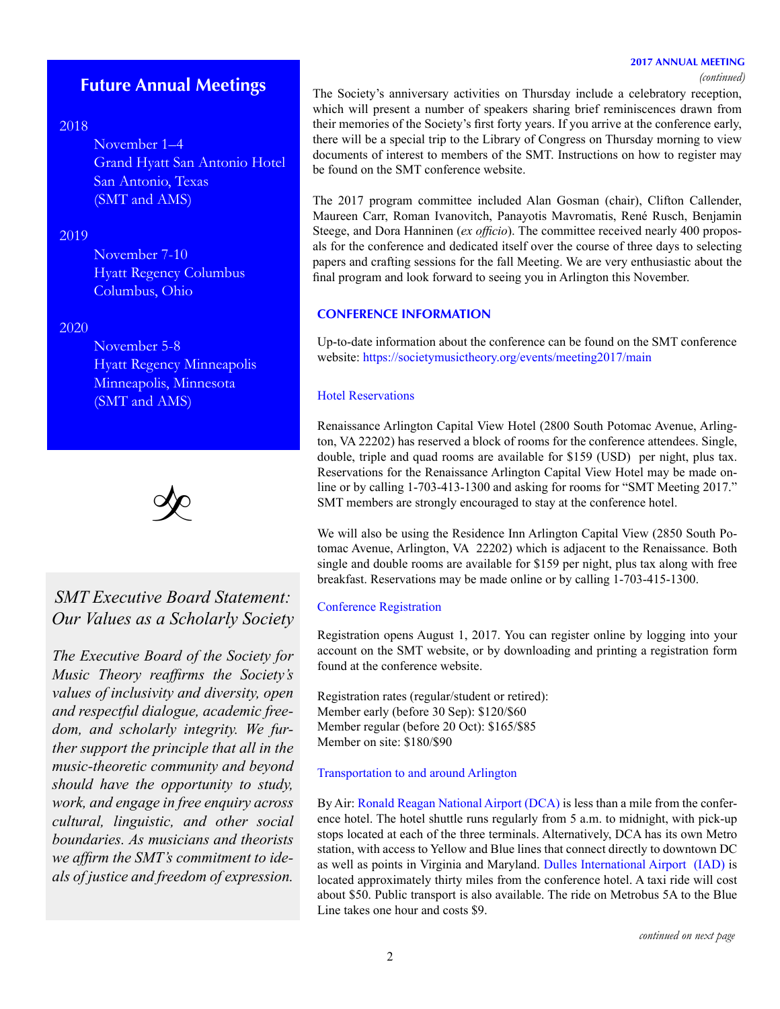#### **2017 ANNUAL MEETING**

*(continued)*

# **Future Annual Meetings**

## 2018

November 1–4 Grand Hyatt San Antonio Hotel San Antonio, Texas (SMT and AMS)

## 2019

November 7-10 Hyatt Regency Columbus Columbus, Ohio

#### 2020

November 5-8 Hyatt Regency Minneapolis Minneapolis, Minnesota (SMT and AMS)



# *SMT Executive Board Statement: Our Values as a Scholarly Society*

*The Executive Board of the Society for Music Theory reaffirms the Society's values of inclusivity and diversity, open and respectful dialogue, academic freedom, and scholarly integrity. We further support the principle that all in the music-theoretic community and beyond should have the opportunity to study, work, and engage in free enquiry across cultural, linguistic, and other social boundaries. As musicians and theorists we affirm the SMT's commitment to ideals of justice and freedom of expression.*

The Society's anniversary activities on Thursday include a celebratory reception, which will present a number of speakers sharing brief reminiscences drawn from their memories of the Society's first forty years. If you arrive at the conference early, there will be a special trip to the Library of Congress on Thursday morning to view documents of interest to members of the SMT. Instructions on how to register may be found on the SMT conference website.

The 2017 program committee included Alan Gosman (chair), Clifton Callender, Maureen Carr, Roman Ivanovitch, Panayotis Mavromatis, René Rusch, Benjamin Steege, and Dora Hanninen (*ex officio*). The committee received nearly 400 proposals for the conference and dedicated itself over the course of three days to selecting papers and crafting sessions for the fall Meeting. We are very enthusiastic about the final program and look forward to seeing you in Arlington this November.

#### **CONFERENCE INFORMATION**

Up-to-date information about the conference can be found on the SMT conference website: <https://societymusictheory.org/events/meeting2017/main>

#### Hotel Reservations

Renaissance Arlington Capital View Hotel (2800 South Potomac Avenue, Arlington, VA 22202) has reserved a block of rooms for the conference attendees. Single, double, triple and quad rooms are available for \$159 (USD) per night, plus tax. Reservations for the Renaissance Arlington Capital View Hotel may be made online or by calling 1-703-413-1300 and asking for rooms for "SMT Meeting 2017." SMT members are strongly encouraged to stay at the conference hotel.

We will also be using the Residence Inn Arlington Capital View (2850 South Potomac Avenue, Arlington, VA 22202) which is adjacent to the Renaissance. Both single and double rooms are available for \$159 per night, plus tax along with free breakfast. Reservations may be made online or by calling 1-703-415-1300.

#### Conference Registration

Registration opens August 1, 2017. You can register online by logging into your account on the SMT website, or by downloading and printing a registration form found at the conference website.

Registration rates (regular/student or retired): Member early (before 30 Sep): \$120/\$60 Member regular (before 20 Oct): \$165/\$85 Member on site: \$180/\$90

#### Transportation to and around Arlington

By Air: [Ronald Reagan National Airport](http://www.flyreagan.com/dca/reagan-national-airport) (DCA) is less than a mile from the conference hotel. The hotel shuttle runs regularly from 5 a.m. to midnight, with pick-up stops located at each of the three terminals. Alternatively, DCA has its own Metro station, with access to Yellow and Blue lines that connect directly to downtown DC as well as points in Virginia and Maryland. [Dulles International Airport](http://www.flydulles.com/iad/dulles-international-airport) (IAD) is located approximately thirty miles from the conference hotel. A taxi ride will cost about \$50. Public transport is also available. The ride on Metrobus 5A to the Blue Line takes one hour and costs \$9.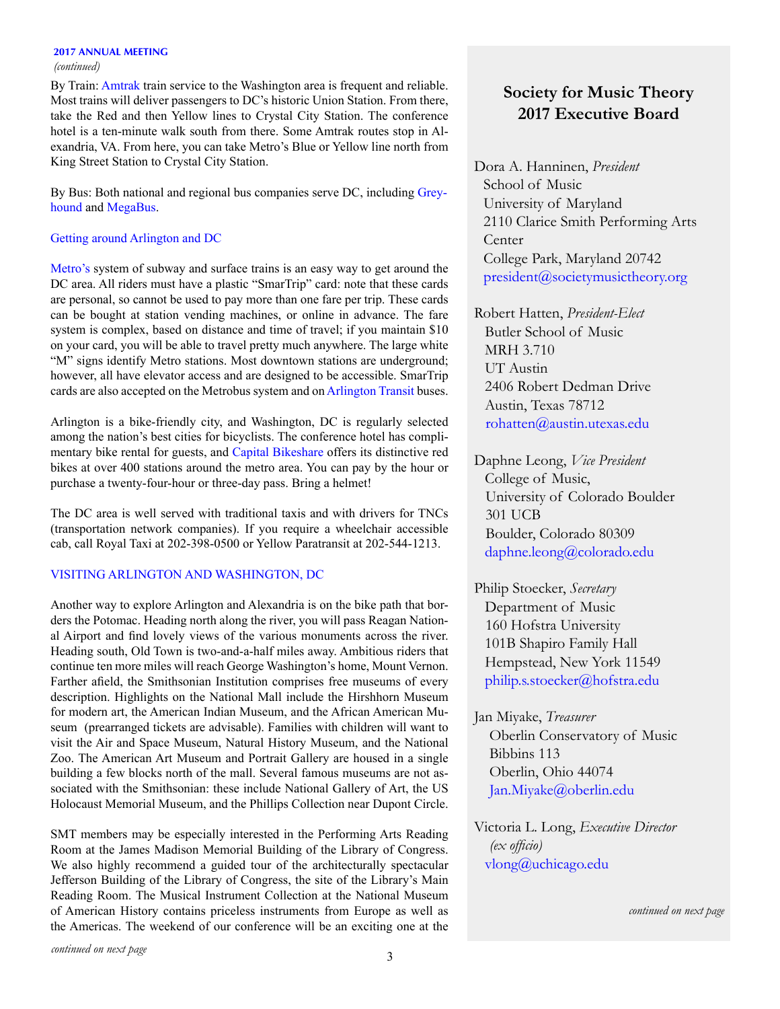#### **2017 ANNUAL MEETING**

#### *(continued)*

By Train: [Amtrak](https://www.amtrak.com/home) train service to the Washington area is frequent and reliable. Most trains will deliver passengers to DC's historic Union Station. From there, take the Red and then Yellow lines to Crystal City Station. The conference hotel is a ten-minute walk south from there. Some Amtrak routes stop in Alexandria, VA. From here, you can take Metro's Blue or Yellow line north from King Street Station to Crystal City Station.

By Bus: Both national and regional bus companies serve DC, including [Grey](https://www.greyhound.com)[hound](https://www.greyhound.com) and [MegaBus](https://us.megabus.com).

### Getting around Arlington and DC

[Metro](http://www.wmata.com)'s system of subway and surface trains is an easy way to get around the DC area. All riders must have a plastic "SmarTrip" card: note that these cards are personal, so cannot be used to pay more than one fare per trip. These cards can be bought at station vending machines, or online in advance. The fare system is complex, based on distance and time of travel; if you maintain \$10 on your card, you will be able to travel pretty much anywhere. The large white "M" signs identify Metro stations. Most downtown stations are underground; however, all have elevator access and are designed to be accessible. SmarTrip cards are also accepted on the [Metrobus](https://www.wmata.com) system and on [Arlington Transit](http://www.arlingtontransit.com) buses.

Arlington is a bike-friendly city, and Washington, DC is regularly selected among the nation's best cities for bicyclists. The conference hotel has complimentary bike rental for guests, and [Capital Bikeshare](https://www.capitalbikeshare.com) offers its distinctive red bikes at over 400 stations around the metro area. You can pay by the hour or purchase a twenty-four-hour or three-day pass. Bring a helmet!

The DC area is well served with traditional taxis and with drivers for TNCs (transportation network companies). If you require a wheelchair accessible cab, call Royal Taxi at 202-398-0500 or Yellow Paratransit at 202-544-1213.

### VISITING ARLINGTON AND WASHINGTON, DC

Another way to explore Arlington and Alexandria is on the bike path that borders the Potomac. Heading north along the river, you will pass Reagan National Airport and find lovely views of the various monuments across the river. Heading south, Old Town is two-and-a-half miles away. Ambitious riders that continue ten more miles will reach George Washington's home, [Mount Vernon.](http://www.mountvernon.org) Farther afield, the Smithsonian Institution comprises free museums of every description. Highlights on the National Mall include the [Hirshhorn Museum](https://hirshhorn.si.edu/collection/home/) for modern art, the [American Indian Museum](http://www.nmai.si.edu), and the [African American Mu](https://nmaahc.si.edu)[seum](https://nmaahc.si.edu) (prearranged tickets are advisable). Families with children will want to visit the [Air and Space Museum](https://airandspace.si.edu), [Natural History Museum,](https://naturalhistory.si.edu) and the [National](https://nationalzoo.si.edu)  [Zoo.](https://nationalzoo.si.edu) The [American Art Museum and Portrait Gallery](http://americanart.si.edu) are housed in a single building a few blocks north of the mall. Several famous museums are not associated with the Smithsonian: these include [National Gallery of Art](https://www.nga.gov/content/ngaweb.html), the [US](https://www.ushmm.org)  [Holocaust Memorial Museum](https://www.ushmm.org), and the [Phillips Collection](http://www.phillipscollection.org) near Dupont Circle.

SMT members may be especially interested in the Performing Arts Reading Room at the James Madison Memorial Building of the [Library of Congress.](https://www.loc.gov) We also highly recommend a guided tour of the architecturally spectacular Jefferson Building of the Library of Congress, the site of the Library's Main Reading Room. The Musical Instrument Collection at the [National Museum](http://americanhistory.si.edu)  [of American History](http://americanhistory.si.edu) contains priceless instruments from Europe as well as the Americas. The weekend of our conference will be an exciting one at the

# **Society for Music Theory 2017 Executive Board**

Dora A. Hanninen, *President* School of Music University of Maryland 2110 Clarice Smith Performing Arts **Center**  College Park, Maryland 20742 [president@societymusictheory.org](mailto:president%40societymusictheory.org%20?subject=)

Robert Hatten, *President-Elect* Butler School of Music MRH 3.710 UT Austin 2406 Robert Dedman Drive Austin, Texas 78712 [rohatten@austin.utexas.edu](mailto:rohatten%40austin.utexas.edu?subject=)

Daphne Leong, *Vice President* College of Music, University of Colorado Boulder 301 UCB Boulder, Colorado 80309 [daphne.leong@colorado.edu](mailto:daphne.leong%40colorado.edu?subject=)

Philip Stoecker, *Secretary* Department of Music 160 Hofstra University 101B Shapiro Family Hall Hempstead, New York 11549 [philip.s.stoecker@hofstra.edu](mailto:philip.s.stoecker%40hofstra.edu?subject=)

Jan Miyake, *Treasurer* Oberlin Conservatory of Music Bibbins 113 Oberlin, Ohio 44074 [Jan.Miyake@oberlin.edu](mailto:Jan.Miyake%40oberlin.edu?subject=)

Victoria L. Long, *Executive Director (ex officio)* [vlong@uchicago.edu](mailto:vlong%40uchicago.edu?subject=)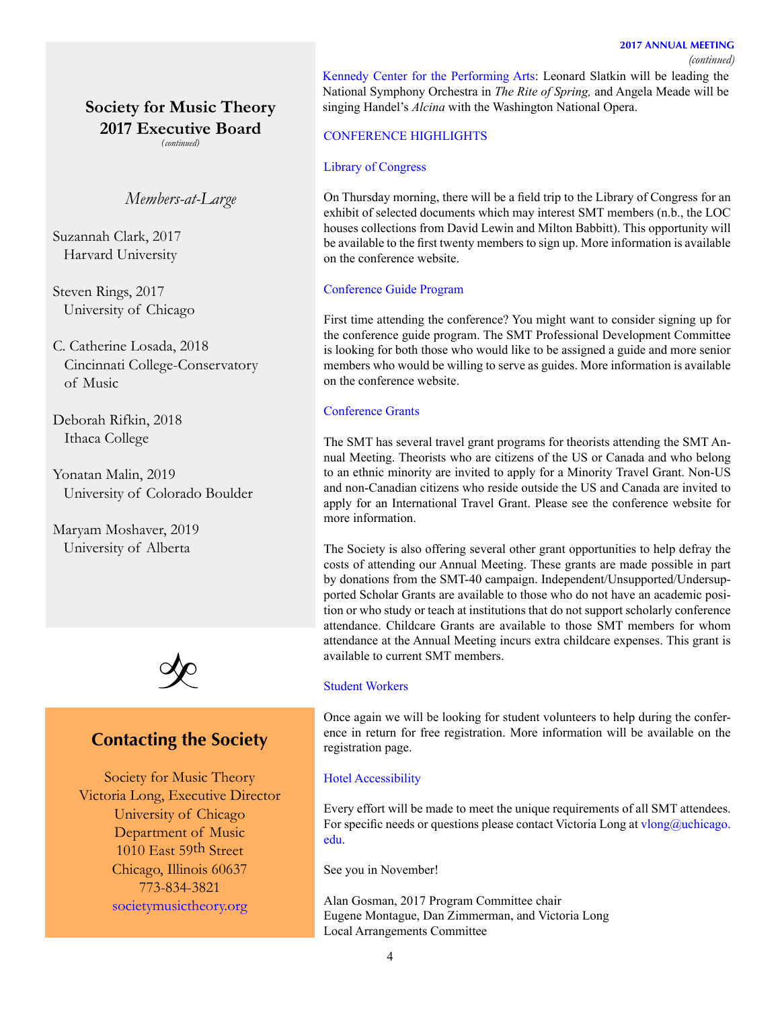#### *(continued)*

**Society for Music Theory 2017 Executive Board**

*(continued)*

*Members-at-Large*

Suzannah Clark, 2017 Harvard University

Steven Rings, 2017 University of Chicago

C. Catherine Losada, 2018 Cincinnati College-Conservatory of Music

Deborah Rifkin, 2018 Ithaca College

Yonatan Malin, 2019 University of Colorado Boulder

Maryam Moshaver, 2019 University of Alberta



# **Contacting the Society**

Society for Music Theory Victoria Long, Executive Director University of Chicago Department of Music 1010 East 59th Street Chicago, Illinois 60637 773-834-3821 [societymusictheory.org](https://societymusictheory.org)

[Kennedy Center for the Performing Arts](http://www.kennedy-center.org): Leonard Slatkin will be leading the National Symphony Orchestra in *The Rite of Spring,* and Angela Meade will be singing Handel's *Alcina* with the Washington National Opera.

### CONFERENCE HIGHLIGHTS

#### Library of Congress

On Thursday morning, there will be a field trip to the Library of Congress for an exhibit of selected documents which may interest SMT members (n.b., the LOC houses collections from David Lewin and Milton Babbitt). This opportunity will be available to the first twenty members to sign up. More information is available on the conference website.

#### Conference Guide Program

First time attending the conference? You might want to consider signing up for the conference guide program. The SMT Professional Development Committee is looking for both those who would like to be assigned a guide and more senior members who would be willing to serve as guides. More information is available on the conference website.

#### Conference Grants

The SMT has several travel grant programs for theorists attending the SMT Annual Meeting. Theorists who are citizens of the US or Canada and who belong to an ethnic minority are invited to apply for a Minority Travel Grant. Non-US and non-Canadian citizens who reside outside the US and Canada are invited to apply for an International Travel Grant. Please see the conference website for more information.

The Society is also offering several other grant opportunities to help defray the costs of attending our Annual Meeting. These grants are made possible in part by donations from the SMT-40 campaign. Independent/Unsupported/Undersupported Scholar Grants are available to those who do not have an academic position or who study or teach at institutions that do not support scholarly conference attendance. Childcare Grants are available to those SMT members for whom attendance at the Annual Meeting incurs extra childcare expenses. This grant is available to current SMT members.

## Student Workers

Once again we will be looking for student volunteers to help during the conference in return for free registration. More information will be available on the registration page.

#### Hotel Accessibility

Every effort will be made to meet the unique requirements of all SMT attendees. For specific needs or questions please contact Victoria Long at [vlong@uchicago.](mailto:vlong%40uchicago.edu?subject=) [edu.](mailto:vlong%40uchicago.edu?subject=)

See you in November!

Alan Gosman, 2017 Program Committee chair Eugene Montague, Dan Zimmerman, and Victoria Long Local Arrangements Committee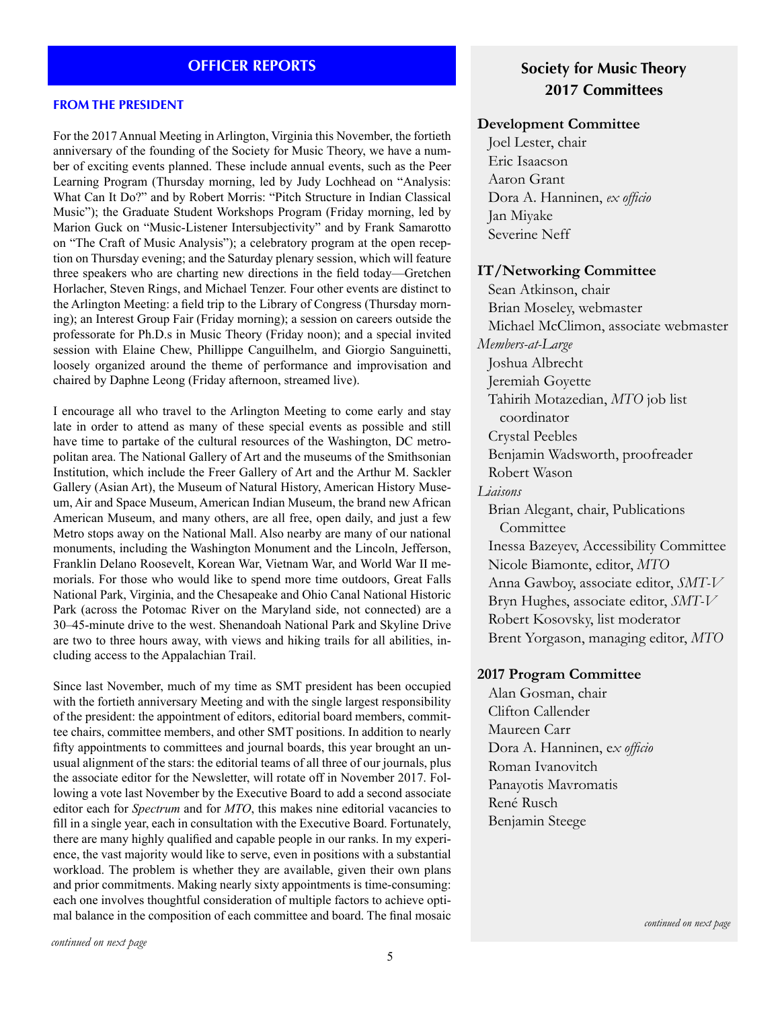## **OFFICER REPORTS**

#### **FROM THE PRESIDENT**

For the 2017 Annual Meeting in Arlington, Virginia this November, the fortieth anniversary of the founding of the Society for Music Theory, we have a number of exciting events planned. These include annual events, such as the Peer Learning Program (Thursday morning, led by Judy Lochhead on "Analysis: What Can It Do?" and by Robert Morris: "Pitch Structure in Indian Classical Music"); the Graduate Student Workshops Program (Friday morning, led by Marion Guck on "Music-Listener Intersubjectivity" and by Frank Samarotto on "The Craft of Music Analysis"); a celebratory program at the open reception on Thursday evening; and the Saturday plenary session, which will feature three speakers who are charting new directions in the field today—Gretchen Horlacher, Steven Rings, and Michael Tenzer. Four other events are distinct to the Arlington Meeting: a field trip to the Library of Congress (Thursday morning); an Interest Group Fair (Friday morning); a session on careers outside the professorate for Ph.D.s in Music Theory (Friday noon); and a special invited session with Elaine Chew, Phillippe Canguilhelm, and Giorgio Sanguinetti, loosely organized around the theme of performance and improvisation and chaired by Daphne Leong (Friday afternoon, streamed live).

I encourage all who travel to the Arlington Meeting to come early and stay late in order to attend as many of these special events as possible and still have time to partake of the cultural resources of the Washington, DC metropolitan area. The National Gallery of Art and the museums of the Smithsonian Institution, which include the Freer Gallery of Art and the Arthur M. Sackler Gallery (Asian Art), the Museum of Natural History, American History Museum, Air and Space Museum, American Indian Museum, the brand new African American Museum, and many others, are all free, open daily, and just a few Metro stops away on the National Mall. Also nearby are many of our national monuments, including the Washington Monument and the Lincoln, Jefferson, Franklin Delano Roosevelt, Korean War, Vietnam War, and World War II memorials. For those who would like to spend more time outdoors, Great Falls National Park, Virginia, and the Chesapeake and Ohio Canal National Historic Park (across the Potomac River on the Maryland side, not connected) are a 30–45-minute drive to the west. Shenandoah National Park and Skyline Drive are two to three hours away, with views and hiking trails for all abilities, including access to the Appalachian Trail.

Since last November, much of my time as SMT president has been occupied with the fortieth anniversary Meeting and with the single largest responsibility of the president: the appointment of editors, editorial board members, committee chairs, committee members, and other SMT positions. In addition to nearly fifty appointments to committees and journal boards, this year brought an unusual alignment of the stars: the editorial teams of all three of our journals, plus the associate editor for the Newsletter, will rotate off in November 2017. Following a vote last November by the Executive Board to add a second associate editor each for *Spectrum* and for *MTO*, this makes nine editorial vacancies to fill in a single year, each in consultation with the Executive Board. Fortunately, there are many highly qualified and capable people in our ranks. In my experience, the vast majority would like to serve, even in positions with a substantial workload. The problem is whether they are available, given their own plans and prior commitments. Making nearly sixty appointments is time-consuming: each one involves thoughtful consideration of multiple factors to achieve optimal balance in the composition of each committee and board. The final mosaic

# **Society for Music Theory 2017 Committees**

### **Development Committee**

Joel Lester, chair Eric Isaacson Aaron Grant Dora A. Hanninen, *ex officio* Jan Miyake Severine Neff

### **IT/Networking Committee**

Sean Atkinson, chair Brian Moseley, webmaster Michael McClimon, associate webmaster *Members-at-Large* Joshua Albrecht Jeremiah Goyette Tahirih Motazedian, *MTO* job list coordinator Crystal Peebles Benjamin Wadsworth, proofreader Robert Wason *Liaisons* Brian Alegant, chair, Publications Committee Inessa Bazeyev, Accessibility Committee Nicole Biamonte, editor, *MTO* Anna Gawboy, associate editor, *SMT-V* Bryn Hughes, associate editor, *SMT-V* Robert Kosovsky, list moderator Brent Yorgason, managing editor, *MTO*

#### **2017 Program Committee**

Alan Gosman, chair Clifton Callender Maureen Carr Dora A. Hanninen, e*x officio* Roman Ivanovitch Panayotis Mavromatis René Rusch Benjamin Steege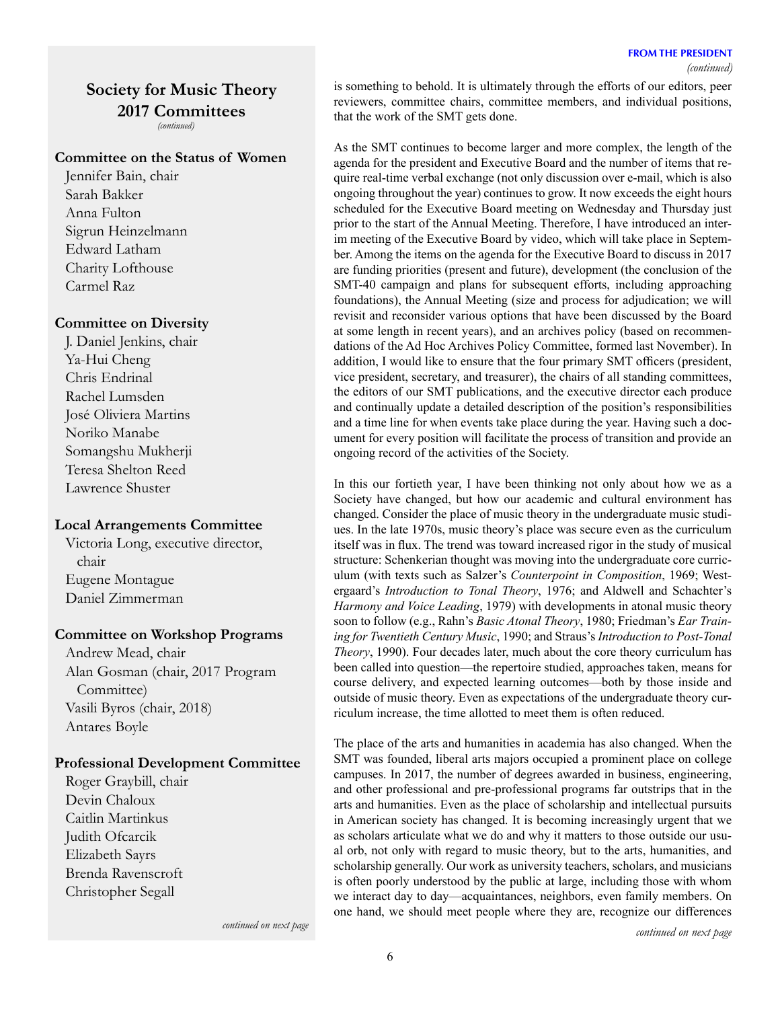# **Society for Music Theory 2017 Committees**

*(continued)*

## **Committee on the Status of Women**

Jennifer Bain, chair Sarah Bakker Anna Fulton Sigrun Heinzelmann Edward Latham Charity Lofthouse Carmel Raz

#### **Committee on Diversity**

J. Daniel Jenkins, chair Ya-Hui Cheng Chris Endrinal Rachel Lumsden José Oliviera Martins Noriko Manabe Somangshu Mukherji Teresa Shelton Reed Lawrence Shuster

### **Local Arrangements Committee**

Victoria Long, executive director, chair Eugene Montague Daniel Zimmerman

### **Committee on Workshop Programs**

Andrew Mead, chair Alan Gosman (chair, 2017 Program Committee) Vasili Byros (chair, 2018) Antares Boyle

### **Professional Development Committee**

Roger Graybill, chair Devin Chaloux Caitlin Martinkus Judith Ofcarcik Elizabeth Sayrs Brenda Ravenscroft Christopher Segall

is something to behold. It is ultimately through the efforts of our editors, peer reviewers, committee chairs, committee members, and individual positions, that the work of the SMT gets done.

As the SMT continues to become larger and more complex, the length of the agenda for the president and Executive Board and the number of items that require real-time verbal exchange (not only discussion over e-mail, which is also ongoing throughout the year) continues to grow. It now exceeds the eight hours scheduled for the Executive Board meeting on Wednesday and Thursday just prior to the start of the Annual Meeting. Therefore, I have introduced an interim meeting of the Executive Board by video, which will take place in September. Among the items on the agenda for the Executive Board to discuss in 2017 are funding priorities (present and future), development (the conclusion of the SMT-40 campaign and plans for subsequent efforts, including approaching foundations), the Annual Meeting (size and process for adjudication; we will revisit and reconsider various options that have been discussed by the Board at some length in recent years), and an archives policy (based on recommendations of the Ad Hoc Archives Policy Committee, formed last November). In addition, I would like to ensure that the four primary SMT officers (president, vice president, secretary, and treasurer), the chairs of all standing committees, the editors of our SMT publications, and the executive director each produce and continually update a detailed description of the position's responsibilities and a time line for when events take place during the year. Having such a document for every position will facilitate the process of transition and provide an ongoing record of the activities of the Society.

In this our fortieth year, I have been thinking not only about how we as a Society have changed, but how our academic and cultural environment has changed. Consider the place of music theory in the undergraduate music studiues. In the late 1970s, music theory's place was secure even as the curriculum itself was in flux. The trend was toward increased rigor in the study of musical structure: Schenkerian thought was moving into the undergraduate core curriculum (with texts such as Salzer's *Counterpoint in Composition*, 1969; Westergaard's *Introduction to Tonal Theory*, 1976; and Aldwell and Schachter's *Harmony and Voice Leading*, 1979) with developments in atonal music theory soon to follow (e.g., Rahn's *Basic Atonal Theory*, 1980; Friedman's *Ear Training for Twentieth Century Music*, 1990; and Straus's *Introduction to Post-Tonal Theory*, 1990). Four decades later, much about the core theory curriculum has been called into question—the repertoire studied, approaches taken, means for course delivery, and expected learning outcomes—both by those inside and outside of music theory. Even as expectations of the undergraduate theory curriculum increase, the time allotted to meet them is often reduced.

The place of the arts and humanities in academia has also changed. When the SMT was founded, liberal arts majors occupied a prominent place on college campuses. In 2017, the number of degrees awarded in business, engineering, and other professional and pre-professional programs far outstrips that in the arts and humanities. Even as the place of scholarship and intellectual pursuits in American society has changed. It is becoming increasingly urgent that we as scholars articulate what we do and why it matters to those outside our usual orb, not only with regard to music theory, but to the arts, humanities, and scholarship generally. Our work as university teachers, scholars, and musicians is often poorly understood by the public at large, including those with whom we interact day to day—acquaintances, neighbors, even family members. On one hand, we should meet people where they are, recognize our differences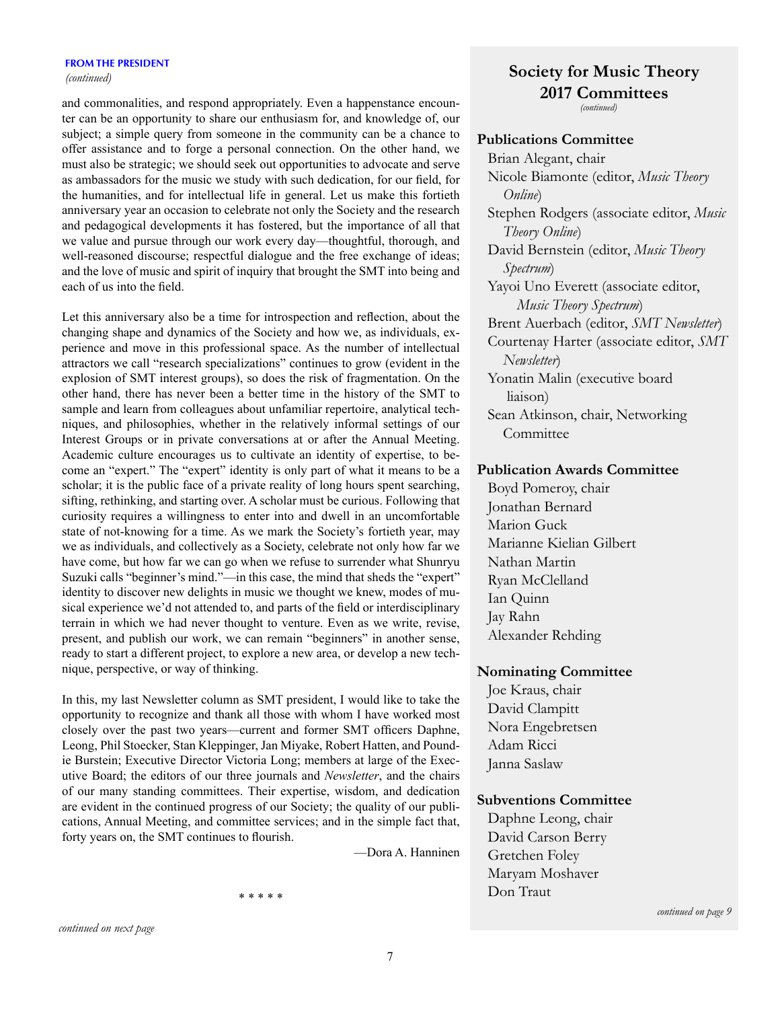#### **FROM THE PRESIDENT**

*(continued)* 

and commonalities, and respond appropriately. Even a happenstance encounter can be an opportunity to share our enthusiasm for, and knowledge of, our subject; a simple query from someone in the community can be a chance to offer assistance and to forge a personal connection. On the other hand, we must also be strategic; we should seek out opportunities to advocate and serve as ambassadors for the music we study with such dedication, for our field, for the humanities, and for intellectual life in general. Let us make this fortieth anniversary year an occasion to celebrate not only the Society and the research and pedagogical developments it has fostered, but the importance of all that we value and pursue through our work every day—thoughtful, thorough, and well-reasoned discourse; respectful dialogue and the free exchange of ideas; and the love of music and spirit of inquiry that brought the SMT into being and each of us into the field.

Let this anniversary also be a time for introspection and reflection, about the changing shape and dynamics of the Society and how we, as individuals, experience and move in this professional space. As the number of intellectual attractors we call "research specializations" continues to grow (evident in the explosion of SMT interest groups), so does the risk of fragmentation. On the other hand, there has never been a better time in the history of the SMT to sample and learn from colleagues about unfamiliar repertoire, analytical techniques, and philosophies, whether in the relatively informal settings of our Interest Groups or in private conversations at or after the Annual Meeting. Academic culture encourages us to cultivate an identity of expertise, to become an "expert." The "expert" identity is only part of what it means to be a scholar; it is the public face of a private reality of long hours spent searching, sifting, rethinking, and starting over. A scholar must be curious. Following that curiosity requires a willingness to enter into and dwell in an uncomfortable state of not-knowing for a time. As we mark the Society's fortieth year, may we as individuals, and collectively as a Society, celebrate not only how far we have come, but how far we can go when we refuse to surrender what Shunryu Suzuki calls "beginner's mind."—in this case, the mind that sheds the "expert" identity to discover new delights in music we thought we knew, modes of musical experience we'd not attended to, and parts of the field or interdisciplinary terrain in which we had never thought to venture. Even as we write, revise, present, and publish our work, we can remain "beginners" in another sense, ready to start a different project, to explore a new area, or develop a new technique, perspective, or way of thinking.

In this, my last Newsletter column as SMT president, I would like to take the opportunity to recognize and thank all those with whom I have worked most closely over the past two years—current and former SMT officers Daphne, Leong, Phil Stoecker, Stan Kleppinger, Jan Miyake, Robert Hatten, and Poundie Burstein; Executive Director Victoria Long; members at large of the Executive Board; the editors of our three journals and *Newsletter*, and the chairs of our many standing committees. Their expertise, wisdom, and dedication are evident in the continued progress of our Society; the quality of our publications, Annual Meeting, and committee services; and in the simple fact that, forty years on, the SMT continues to flourish.

—Dora A. Hanninen

#### \* \* \* \* \*

# **Society for Music Theory 2017 Committees**

*(continued)*

## **Publications Committee**

Brian Alegant, chair Nicole Biamonte (editor, *Music Theory Online*) Stephen Rodgers (associate editor, *Music Theory Online*) David Bernstein (editor, *Music Theory Spectrum*) Yayoi Uno Everett (associate editor, *Music Theory Spectrum*) Brent Auerbach (editor, *SMT Newsletter*) Courtenay Harter (associate editor, *SMT Newsletter*) Yonatin Malin (executive board liaison) Sean Atkinson, chair, Networking Committee

## **Publication Awards Committee**

Boyd Pomeroy, chair Jonathan Bernard Marion Guck Marianne Kielian Gilbert Nathan Martin Ryan McClelland Ian Quinn Jay Rahn Alexander Rehding

## **Nominating Committee**

Joe Kraus, chair David Clampitt Nora Engebretsen Adam Ricci Janna Saslaw

### **Subventions Committee**

Daphne Leong, chair David Carson Berry Gretchen Foley Maryam Moshaver Don Traut

*continued on page 9*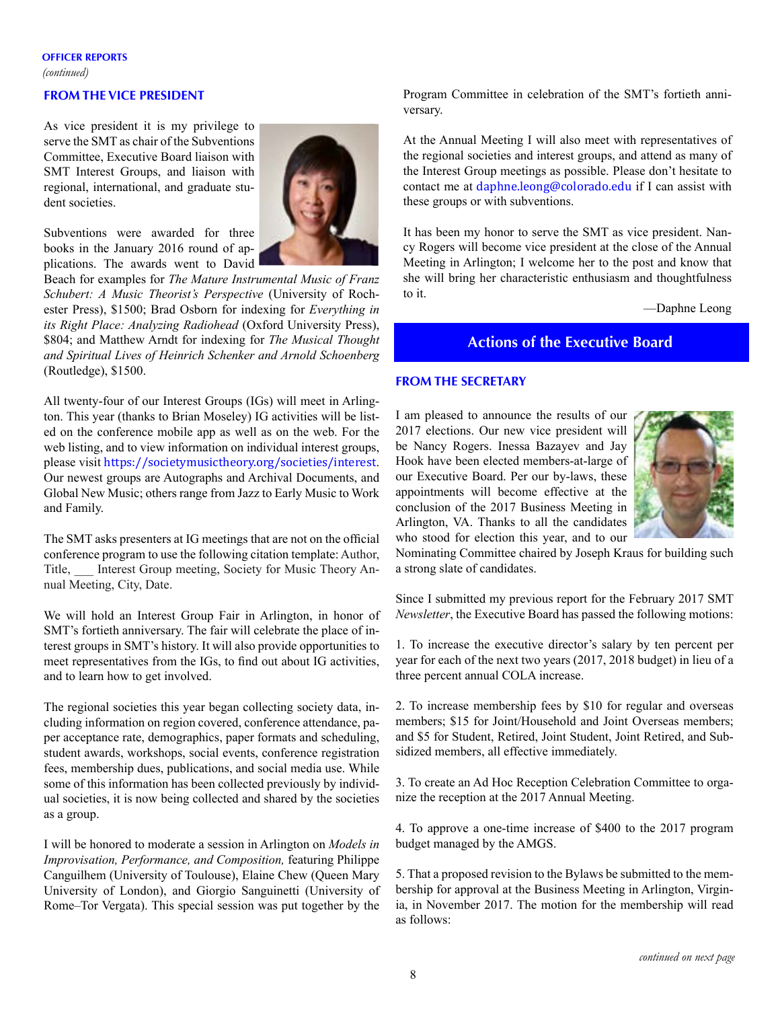### **OFFICER REPORTS**

*(continued)* 

## **FROM THE VICE PRESIDENT**

As vice president it is my privilege to serve the SMT as chair of the Subventions Committee, Executive Board liaison with SMT Interest Groups, and liaison with regional, international, and graduate student societies.



Subventions were awarded for three books in the January 2016 round of applications. The awards went to David

Beach for examples for *The Mature Instrumental Music of Franz Schubert: A Music Theorist's Perspective* (University of Rochester Press), \$1500; Brad Osborn for indexing for *Everything in its Right Place: Analyzing Radiohead* (Oxford University Press), \$804; and Matthew Arndt for indexing for *The Musical Thought and Spiritual Lives of Heinrich Schenker and Arnold Schoenberg* (Routledge), \$1500.

All twenty-four of our Interest Groups (IGs) will meet in Arlington. This year (thanks to Brian Moseley) IG activities will be listed on the conference mobile app as well as on the web. For the web listing, and to view information on individual interest groups, please visit <https://societymusictheory.org/societies/interest>. Our newest groups are Autographs and Archival Documents, and Global New Music; others range from Jazz to Early Music to Work and Family.

The SMT asks presenters at IG meetings that are not on the official conference program to use the following citation template: Author, Title, Interest Group meeting, Society for Music Theory Annual Meeting, City, Date.

We will hold an Interest Group Fair in Arlington, in honor of SMT's fortieth anniversary. The fair will celebrate the place of interest groups in SMT's history. It will also provide opportunities to meet representatives from the IGs, to find out about IG activities, and to learn how to get involved.

The regional societies this year began collecting society data, including information on region covered, conference attendance, paper acceptance rate, demographics, paper formats and scheduling, student awards, workshops, social events, conference registration fees, membership dues, publications, and social media use. While some of this information has been collected previously by individual societies, it is now being collected and shared by the societies as a group.

I will be honored to moderate a session in Arlington on *Models in Improvisation, Performance, and Composition,* featuring Philippe Canguilhem (University of Toulouse), Elaine Chew (Queen Mary University of London), and Giorgio Sanguinetti (University of Rome–Tor Vergata). This special session was put together by the Program Committee in celebration of the SMT's fortieth anniversary.

At the Annual Meeting I will also meet with representatives of the regional societies and interest groups, and attend as many of the Interest Group meetings as possible. Please don't hesitate to contact me at [daphne.leong@colorado.edu](mailto:daphne.leong@colorado.edu) if I can assist with these groups or with subventions.

It has been my honor to serve the SMT as vice president. Nancy Rogers will become vice president at the close of the Annual Meeting in Arlington; I welcome her to the post and know that she will bring her characteristic enthusiasm and thoughtfulness to it.

—Daphne Leong

## **Actions of the Executive Board**

#### **FROM THE SECRETARY**

I am pleased to announce the results of our 2017 elections. Our new vice president will be Nancy Rogers. Inessa Bazayev and Jay Hook have been elected members-at-large of our Executive Board. Per our by-laws, these appointments will become effective at the conclusion of the 2017 Business Meeting in Arlington, VA. Thanks to all the candidates who stood for election this year, and to our



Nominating Committee chaired by Joseph Kraus for building such a strong slate of candidates.

Since I submitted my previous report for the February 2017 SMT *Newsletter*, the Executive Board has passed the following motions:

1. To increase the executive director's salary by ten percent per year for each of the next two years (2017, 2018 budget) in lieu of a three percent annual COLA increase.

2. To increase membership fees by \$10 for regular and overseas members; \$15 for Joint/Household and Joint Overseas members; and \$5 for Student, Retired, Joint Student, Joint Retired, and Subsidized members, all effective immediately.

3. To create an Ad Hoc Reception Celebration Committee to organize the reception at the 2017 Annual Meeting.

4. To approve a one-time increase of \$400 to the 2017 program budget managed by the AMGS.

5. That a proposed revision to the Bylaws be submitted to the membership for approval at the Business Meeting in Arlington, Virginia, in November 2017. The motion for the membership will read as follows: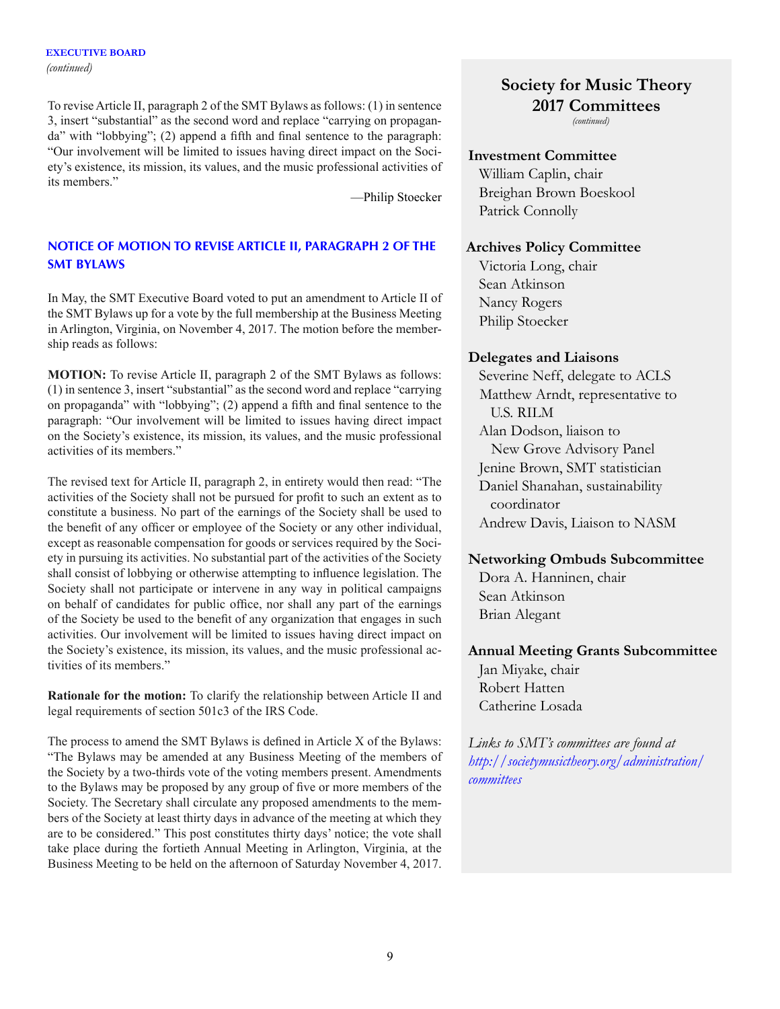To reviseArticle II, paragraph 2 of the SMT Bylaws as follows: (1) in sentence 3, insert "substantial" as the second word and replace "carrying on propaganda" with "lobbying"; (2) append a fifth and final sentence to the paragraph: "Our involvement will be limited to issues having direct impact on the Society's existence, its mission, its values, and the music professional activities of its members."

—Philip Stoecker

## **NOTICE OF MOTION TO REVISE ARTICLE II, PARAGRAPH 2 OF THE SMT BYLAWS**

In May, the SMT Executive Board voted to put an amendment to Article II of the SMT Bylaws up for a vote by the full membership at the Business Meeting in Arlington, Virginia, on November 4, 2017. The motion before the membership reads as follows:

**MOTION:** To revise Article II, paragraph 2 of the SMT Bylaws as follows: (1) in sentence 3, insert "substantial" as the second word and replace "carrying on propaganda" with "lobbying"; (2) append a fifth and final sentence to the paragraph: "Our involvement will be limited to issues having direct impact on the Society's existence, its mission, its values, and the music professional activities of its members."

The revised text for Article II, paragraph 2, in entirety would then read: "The activities of the Society shall not be pursued for profit to such an extent as to constitute a business. No part of the earnings of the Society shall be used to the benefit of any officer or employee of the Society or any other individual, except as reasonable compensation for goods or services required by the Society in pursuing its activities. No substantial part of the activities of the Society shall consist of lobbying or otherwise attempting to influence legislation. The Society shall not participate or intervene in any way in political campaigns on behalf of candidates for public office, nor shall any part of the earnings of the Society be used to the benefit of any organization that engages in such activities. Our involvement will be limited to issues having direct impact on the Society's existence, its mission, its values, and the music professional activities of its members."

**Rationale for the motion:** To clarify the relationship between Article II and legal requirements of section 501c3 of the IRS Code.

The process to amend the SMT Bylaws is defined in Article X of the Bylaws: "The Bylaws may be amended at any Business Meeting of the members of the Society by a two-thirds vote of the voting members present. Amendments to the Bylaws may be proposed by any group of five or more members of the Society. The Secretary shall circulate any proposed amendments to the members of the Society at least thirty days in advance of the meeting at which they are to be considered." This post constitutes thirty days' notice; the vote shall take place during the fortieth Annual Meeting in Arlington, Virginia, at the Business Meeting to be held on the afternoon of Saturday November 4, 2017.

# **Society for Music Theory 2017 Committees**

*(continued)*

## **Investment Committee**

William Caplin, chair Breighan Brown Boeskool Patrick Connolly

## **Archives Policy Committee**

Victoria Long, chair Sean Atkinson Nancy Rogers Philip Stoecker

## **Delegates and Liaisons**

Severine Neff, delegate to ACLS Matthew Arndt, representative to U.S. RILM Alan Dodson, liaison to New Grove Advisory Panel Jenine Brown, SMT statistician Daniel Shanahan, sustainability coordinator Andrew Davis, Liaison to NASM

# **Networking Ombuds Subcommittee**

Dora A. Hanninen, chair Sean Atkinson Brian Alegant

# **Annual Meeting Grants Subcommittee**

Jan Miyake, chair Robert Hatten Catherine Losada

*Links to SMT's committees are found at [http://societymusictheory.org/administration/](http://societymusictheory.org/administration/committees) [committees](http://societymusictheory.org/administration/committees)*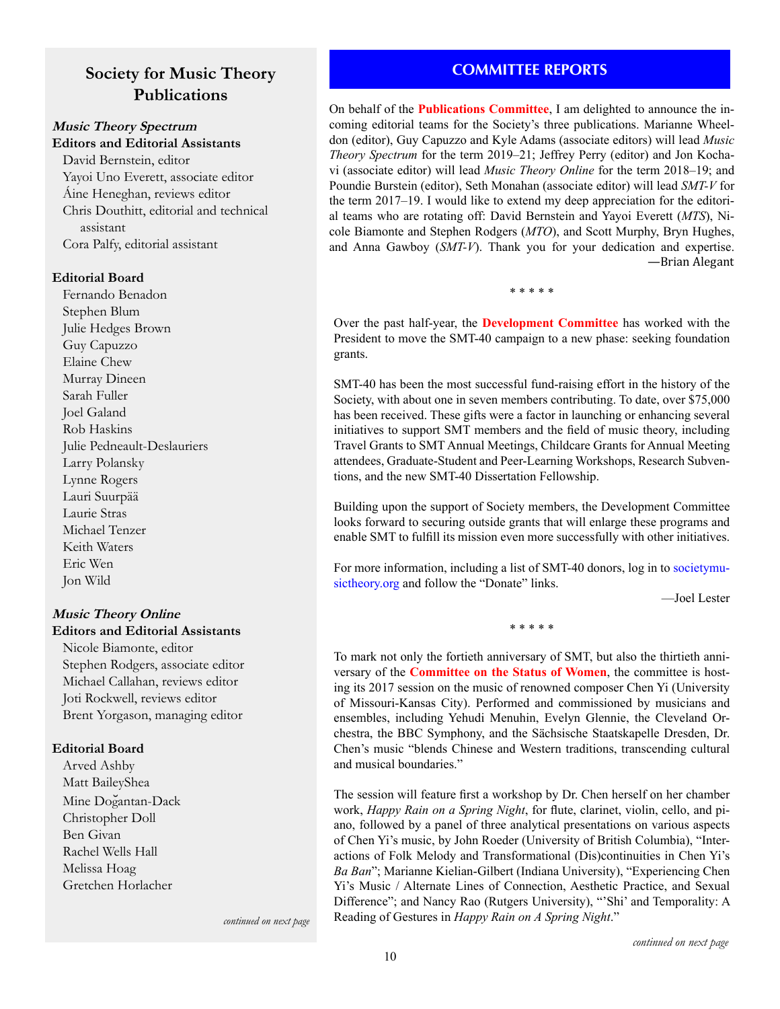# **Society for Music Theory Publications**

## **Music Theory Spectrum Editors and Editorial Assistants**

David Bernstein, editor Yayoi Uno Everett, associate editor Áine Heneghan, reviews editor Chris Douthitt, editorial and technical assistant Cora Palfy, editorial assistant

### **Editorial Board**

Fernando Benadon Stephen Blum Julie Hedges Brown Guy Capuzzo Elaine Chew Murray Dineen Sarah Fuller Joel Galand Rob Haskins Julie Pedneault-Deslauriers Larry Polansky Lynne Rogers Lauri Suurpää Laurie Stras Michael Tenzer Keith Waters Eric Wen Jon Wild

## **Music Theory Online Editors and Editorial Assistants**

Nicole Biamonte, editor Stephen Rodgers, associate editor Michael Callahan, reviews editor Joti Rockwell, reviews editor Brent Yorgason, managing editor

## **Editorial Board**

Arved Ashby Matt BaileyShea Mine Doğantan-Dack Christopher Doll Ben Givan Rachel Wells Hall Melissa Hoag Gretchen Horlacher

# **COMMITTEE REPORTS**

On behalf of the **Publications Committee**, I am delighted to announce the incoming editorial teams for the Society's three publications. Marianne Wheeldon (editor), Guy Capuzzo and Kyle Adams (associate editors) will lead *Music Theory Spectrum* for the term 2019–21; Jeffrey Perry (editor) and Jon Kochavi (associate editor) will lead *Music Theory Online* for the term 2018–19; and Poundie Burstein (editor), Seth Monahan (associate editor) will lead *SMT-V* for the term 2017–19. I would like to extend my deep appreciation for the editorial teams who are rotating off: David Bernstein and Yayoi Everett (*MTS*), Nicole Biamonte and Stephen Rodgers (*MTO*), and Scott Murphy, Bryn Hughes, and Anna Gawboy (*SMT-V*). Thank you for your dedication and expertise. —Brian Alegant

\* \* \* \* \*

Over the past half-year, the **Development Committee** has worked with the President to move the SMT-40 campaign to a new phase: seeking foundation grants.

SMT-40 has been the most successful fund-raising effort in the history of the Society, with about one in seven members contributing. To date, over \$75,000 has been received. These gifts were a factor in launching or enhancing several initiatives to support SMT members and the field of music theory, including Travel Grants to SMT Annual Meetings, Childcare Grants for Annual Meeting attendees, Graduate-Student and Peer-Learning Workshops, Research Subventions, and the new SMT-40 Dissertation Fellowship.

Building upon the support of Society members, the Development Committee looks forward to securing outside grants that will enlarge these programs and enable SMT to fulfill its mission even more successfully with other initiatives.

For more information, including a list of SMT-40 donors, log in to [societymu](http://societymusictheory.org)[sictheory.org](http://societymusictheory.org) and follow the "Donate" links.

—Joel Lester

\* \* \* \* \*

To mark not only the fortieth anniversary of SMT, but also the thirtieth anniversary of the **Committee on the Status of Women**, the committee is hosting its 2017 session on the music of renowned composer Chen Yi (University of Missouri-Kansas City). Performed and commissioned by musicians and ensembles, including Yehudi Menuhin, Evelyn Glennie, the Cleveland Orchestra, the BBC Symphony, and the Sächsische Staatskapelle Dresden, Dr. Chen's music "blends Chinese and Western traditions, transcending cultural and musical boundaries."

The session will feature first a workshop by Dr. Chen herself on her chamber work, *Happy Rain on a Spring Night*, for flute, clarinet, violin, cello, and piano, followed by a panel of three analytical presentations on various aspects of Chen Yi's music, by John Roeder (University of British Columbia), "Interactions of Folk Melody and Transformational (Dis)continuities in Chen Yi's *Ba Ban*"; Marianne Kielian-Gilbert (Indiana University), "Experiencing Chen Yi's Music / Alternate Lines of Connection, Aesthetic Practice, and Sexual Difference"; and Nancy Rao (Rutgers University), "'Shi' and Temporality: A Reading of Gestures in *Happy Rain on A Spring Night*."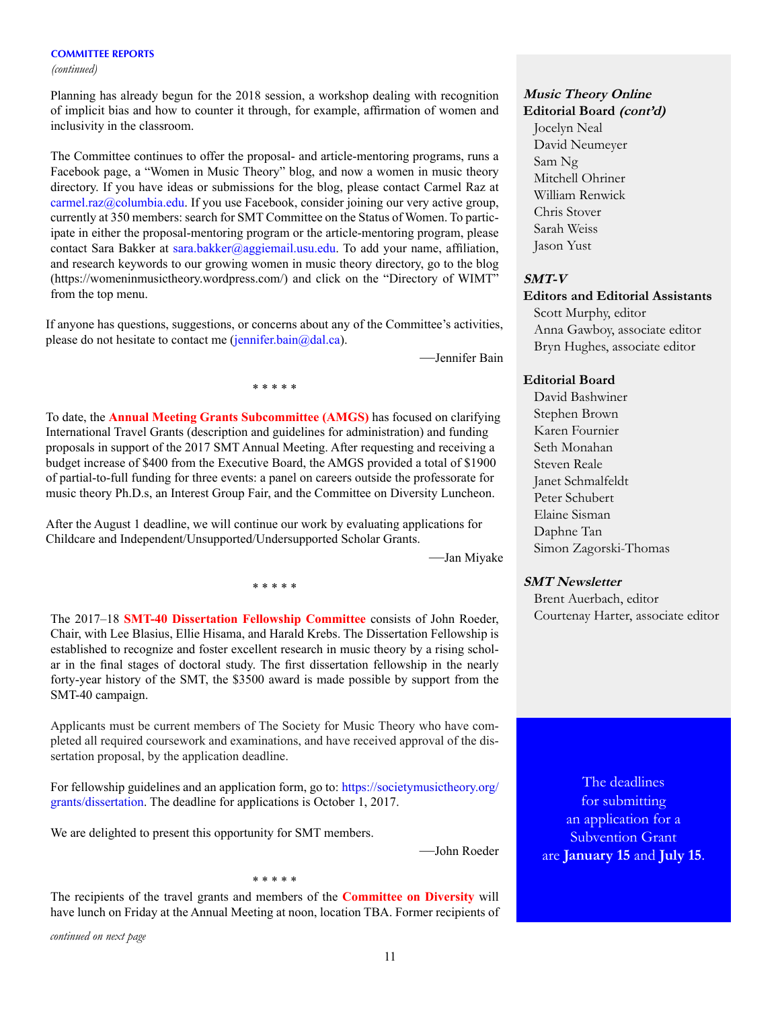*(continued)*

Planning has already begun for the 2018 session, a workshop dealing with recognition of implicit bias and how to counter it through, for example, affirmation of women and inclusivity in the classroom.

The Committee continues to offer the proposal- and article-mentoring programs, runs a Facebook page, a "Women in Music Theory" blog, and now a women in music theory directory. If you have ideas or submissions for the blog, please contact Carmel Raz at [carmel.raz@columbia.edu.](mailto:carmel.raz%40columbia.edu?subject=) If you use Facebook, consider joining our very active group, currently at 350 members: search for SMT Committee on the Status of Women. To participate in either the proposal-mentoring program or the article-mentoring program, please contact Sara Bakker at [sara.bakker@aggiemail.usu.edu](mailto:sara.bakker%40aggiemail.usu.edu?subject=). To add your name, affiliation, and research keywords to our growing women in music theory directory, go to the blog (https://womeninmusictheory.wordpress.com/) and click on the "Directory of WIMT" from the top menu.

If anyone has questions, suggestions, or concerns about any of the Committee's activities, please do not hesitate to contact me ( $\overline{\text{jennifer}}$ .bain $\omega$ dal.ca).

—Jennifer Bain

\* \* \* \* \*

To date, the **Annual Meeting Grants Subcommittee (AMGS)** has focused on clarifying International Travel Grants (description and guidelines for administration) and funding proposals in support of the 2017 SMT Annual Meeting. After requesting and receiving a budget increase of \$400 from the Executive Board, the AMGS provided a total of \$1900 of partial-to-full funding for three events: a panel on careers outside the professorate for music theory Ph.D.s, an Interest Group Fair, and the Committee on Diversity Luncheon.

After the August 1 deadline, we will continue our work by evaluating applications for Childcare and Independent/Unsupported/Undersupported Scholar Grants.

—Jan Miyake

The 2017–18 **SMT-40 Dissertation Fellowship Committee** consists of John Roeder, Chair, with Lee Blasius, Ellie Hisama, and Harald Krebs. The Dissertation Fellowship is established to recognize and foster excellent research in music theory by a rising scholar in the final stages of doctoral study. The first dissertation fellowship in the nearly forty-year history of the SMT, the \$3500 award is made possible by support from the SMT-40 campaign.

\* \* \* \* \*

Applicants must be current members of The Society for Music Theory who have completed all required coursework and examinations, and have received approval of the dissertation proposal, by the application deadline.

For fellowship guidelines and an application form, go to: [https://societymusictheory.org/](https://societymusictheory.org/grants/dissertation) [grants/dissertation.](https://societymusictheory.org/grants/dissertation) The deadline for applications is October 1, 2017.

We are delighted to present this opportunity for SMT members.

—John Roeder

The recipients of the travel grants and members of the **Committee on Diversity** will have lunch on Friday at the Annual Meeting at noon, location TBA. Former recipients of

\* \* \* \* \*

*continued on next page*

## **Music Theory Online Editorial Board (cont'd)**

Jocelyn Neal David Neumeyer Sam Ng Mitchell Ohriner William Renwick Chris Stover Sarah Weiss Jason Yust

### **SMT-V**

## **Editors and Editorial Assistants**

Scott Murphy, editor Anna Gawboy, associate editor Bryn Hughes, associate editor

#### **Editorial Board**

David Bashwiner Stephen Brown Karen Fournier Seth Monahan Steven Reale Janet Schmalfeldt Peter Schubert Elaine Sisman Daphne Tan Simon Zagorski-Thomas

#### **SMT Newsletter**

Brent Auerbach, editor Courtenay Harter, associate editor

The deadlines for submitting an application for a Subvention Grant are **January 15** and **July 15**.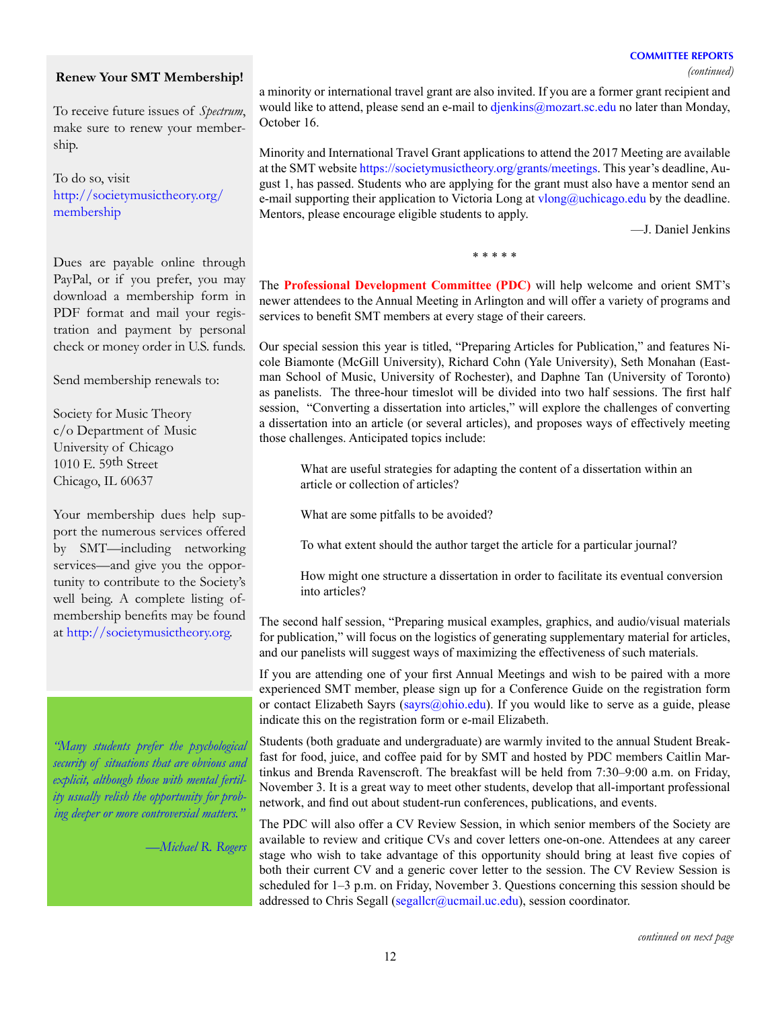*(continued)*

## **Renew Your SMT Membership!**

To receive future issues of *Spectrum*, make sure to renew your membership.

To do so, visit [http://societymusictheory.org/](http://societymusictheory.org/membership) [membership](http://societymusictheory.org/membership)

Dues are payable online through PayPal, or if you prefer, you may download a membership form in PDF format and mail your registration and payment by personal check or money order in U.S. funds.

Send membership renewals to:

Society for Music Theory c/o Department of Music University of Chicago 1010 E. 59th Street Chicago, IL 60637

Your membership dues help support the numerous services offered by SMT—including networking services—and give you the opportunity to contribute to the Society's well being. A complete listing ofmembership benefits may be found at<http://societymusictheory.org>.

*"Many students prefer the psychological security of situations that are obvious and explicit, although those with mental fertility usually relish the opportunity for probing deeper or more controversial matters."*

*—Michael R. Rogers*

a minority or international travel grant are also invited. If you are a former grant recipient and would like to attend, please send an e-mail to [djenkins@mozart.sc.edu](mailto:djenkins%40mozart.sc.edu?subject=) no later than Monday, October 16.

Minority and International Travel Grant applications to attend the 2017 Meeting are available at the SMT website<https://societymusictheory.org/grants/meetings>. This year's deadline, August 1, has passed. Students who are applying for the grant must also have a mentor send an e-mail supporting their application to Victoria Long at  $vlong@$ uchicago.edu by the deadline. Mentors, please encourage eligible students to apply.

—J. Daniel Jenkins

\* \* \* \* \*

The **Professional Development Committee (PDC)** will help welcome and orient SMT's newer attendees to the Annual Meeting in Arlington and will offer a variety of programs and services to benefit SMT members at every stage of their careers.

Our special session this year is titled, "Preparing Articles for Publication," and features Nicole Biamonte (McGill University), Richard Cohn (Yale University), Seth Monahan (Eastman School of Music, University of Rochester), and Daphne Tan (University of Toronto) as panelists. The three-hour timeslot will be divided into two half sessions. The first half session, "Converting a dissertation into articles," will explore the challenges of converting a dissertation into an article (or several articles), and proposes ways of effectively meeting those challenges. Anticipated topics include:

What are useful strategies for adapting the content of a dissertation within an article or collection of articles?

What are some pitfalls to be avoided?

To what extent should the author target the article for a particular journal?

How might one structure a dissertation in order to facilitate its eventual conversion into articles?

The second half session, "Preparing musical examples, graphics, and audio/visual materials for publication," will focus on the logistics of generating supplementary material for articles, and our panelists will suggest ways of maximizing the effectiveness of such materials.

If you are attending one of your first Annual Meetings and wish to be paired with a more experienced SMT member, please sign up for a Conference Guide on the registration form or contact Elizabeth Sayrs (sayrs  $\omega$ ). If you would like to serve as a guide, please indicate this on the registration form or e-mail Elizabeth.

Students (both graduate and undergraduate) are warmly invited to the annual Student Breakfast for food, juice, and coffee paid for by SMT and hosted by PDC members Caitlin Martinkus and Brenda Ravenscroft. The breakfast will be held from 7:30–9:00 a.m. on Friday, November 3. It is a great way to meet other students, develop that all-important professional network, and find out about student-run conferences, publications, and events.

The PDC will also offer a CV Review Session, in which senior members of the Society are available to review and critique CVs and cover letters one-on-one. Attendees at any career stage who wish to take advantage of this opportunity should bring at least five copies of both their current CV and a generic cover letter to the session. The CV Review Session is scheduled for 1–3 p.m. on Friday, November 3. Questions concerning this session should be addressed to Chris Segall ([segallcr@ucmail.uc.edu](mailto:segallcr%40ucmail.uc.edu?subject=)), session coordinator.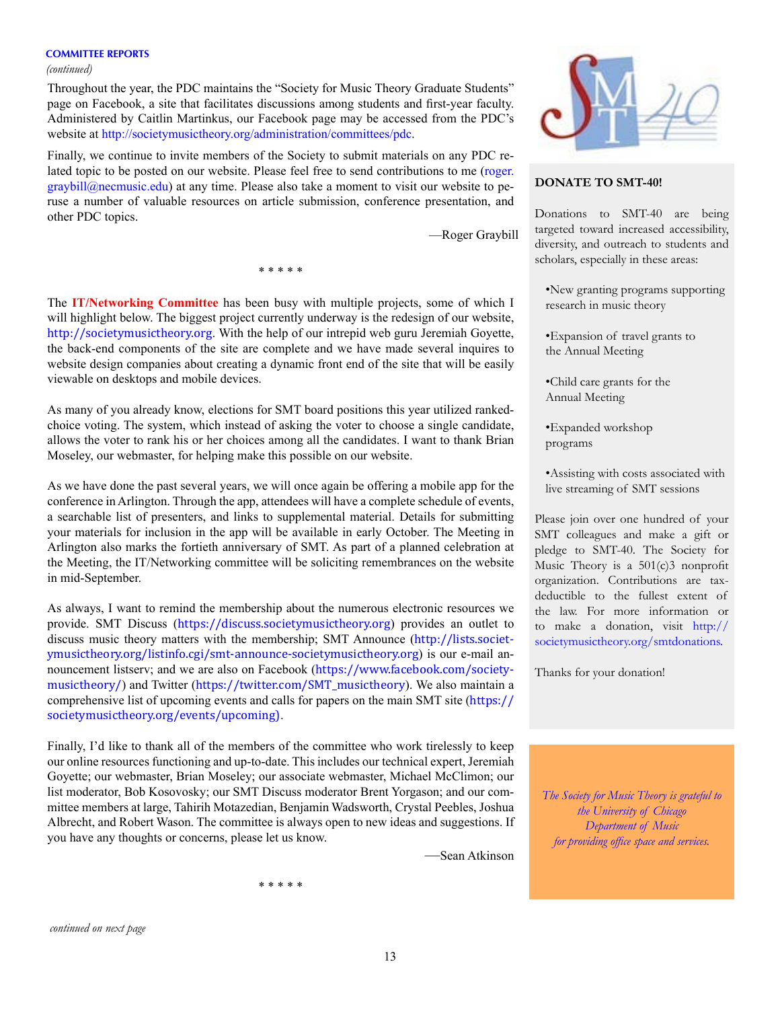*(continued)*

Throughout the year, the PDC maintains the "Society for Music Theory Graduate Students" page on Facebook, a site that facilitates discussions among students and first-year faculty. Administered by Caitlin Martinkus, our Facebook page may be accessed from the PDC's website at <http://societymusictheory.org/administration/committees/pdc>.

Finally, we continue to invite members of the Society to submit materials on any PDC related topic to be posted on our website. Please feel free to send contributions to me ([roger.](mailto:roger.graybill%40necmusic.edu?subject=)  $graybill@n$ ecmusic.edu) at any time. Please also take a moment to visit our website to peruse a number of valuable resources on article submission, conference presentation, and other PDC topics.

—Roger Graybill

\* \* \* \* \*

The **IT/Networking Committee** has been busy with multiple projects, some of which I will highlight below. The biggest project currently underway is the redesign of our website, <http://societymusictheory.org>. With the help of our intrepid web guru Jeremiah Goyette, the back-end components of the site are complete and we have made several inquires to website design companies about creating a dynamic front end of the site that will be easily viewable on desktops and mobile devices.

As many of you already know, elections for SMT board positions this year utilized rankedchoice voting. The system, which instead of asking the voter to choose a single candidate, allows the voter to rank his or her choices among all the candidates. I want to thank Brian Moseley, our webmaster, for helping make this possible on our website.

As we have done the past several years, we will once again be offering a mobile app for the conference in Arlington. Through the app, attendees will have a complete schedule of events, a searchable list of presenters, and links to supplemental material. Details for submitting your materials for inclusion in the app will be available in early October. The Meeting in Arlington also marks the fortieth anniversary of SMT. As part of a planned celebration at the Meeting, the IT/Networking committee will be soliciting remembrances on the website in mid-September.

As always, I want to remind the membership about the numerous electronic resources we provide. SMT Discuss (<https://discuss.societymusictheory.org>) provides an outlet to discuss music theory matters with the membership; SMT Announce ([http://lists.societ](http://lists.societymusictheory.org/listinfo.cgi/smt-announce-societymusictheory.org)[ymusictheory.org/listinfo.cgi/smt-announce-societymusictheory.org](http://lists.societymusictheory.org/listinfo.cgi/smt-announce-societymusictheory.org)) is our e-mail announcement listserv; and we are also on Facebook ([https://www.facebook.com/society](https://www.facebook.com/societymusictheory/)[musictheory/](https://www.facebook.com/societymusictheory/)) and Twitter ([https://twitter.com/SMT\\_musictheory](https://twitter.com/SMT_musictheory)). We also maintain a comprehensive list of upcoming events and calls for papers on the main SMT site ([https://](https://societymusictheory.org/events/upcoming)) [societymusictheory.org/events/upcoming\)](https://societymusictheory.org/events/upcoming)).

Finally, I'd like to thank all of the members of the committee who work tirelessly to keep our online resources functioning and up-to-date. This includes our technical expert, Jeremiah Goyette; our webmaster, Brian Moseley; our associate webmaster, Michael McClimon; our list moderator, Bob Kosovosky; our SMT Discuss moderator Brent Yorgason; and our committee members at large, Tahirih Motazedian, Benjamin Wadsworth, Crystal Peebles, Joshua Albrecht, and Robert Wason. The committee is always open to new ideas and suggestions. If you have any thoughts or concerns, please let us know.

\* \* \* \* \*

—Sean Atkinson



### **DONATE TO SMT-40!**

Donations to SMT-40 are being targeted toward increased accessibility, diversity, and outreach to students and scholars, especially in these areas:

•New granting programs supporting research in music theory

•Expansion of travel grants to the Annual Meeting

•Child care grants for the Annual Meeting

•Expanded workshop programs

•Assisting with costs associated with live streaming of SMT sessions

Please join over one hundred of your SMT colleagues and make a gift or pledge to SMT-40. The Society for Music Theory is a  $501(c)3$  nonprofit organization. Contributions are taxdeductible to the fullest extent of the law. For more information or to make a donation, visit [http://](http://societymusictheory.org/smtdonations) [societymusictheory.org/smtdonations.](http://societymusictheory.org/smtdonations)

Thanks for your donation!

*The Society for Music Theory is grateful to the University of Chicago Department of Music for providing office space and services.*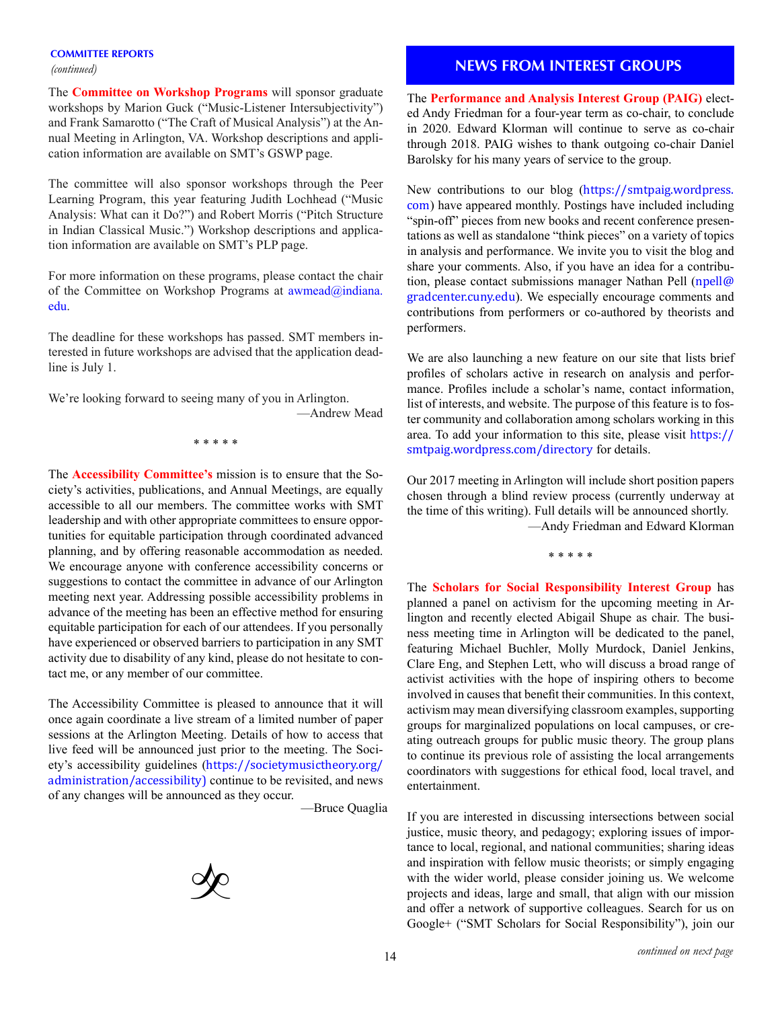*(continued)*

The **Committee on Workshop Programs** will sponsor graduate workshops by Marion Guck ("Music-Listener Intersubjectivity") and Frank Samarotto ("The Craft of Musical Analysis") at the Annual Meeting in Arlington, VA. Workshop descriptions and application information are available on SMT's GSWP page.

The committee will also sponsor workshops through the Peer Learning Program, this year featuring Judith Lochhead ("Music Analysis: What can it Do?") and Robert Morris ("Pitch Structure in Indian Classical Music.") Workshop descriptions and application information are available on SMT's PLP page.

For more information on these programs, please contact the chair of the Committee on Workshop Programs at [awmead@indiana.](mailto:awmead%40indiana.edu?subject=) [edu](mailto:awmead%40indiana.edu?subject=).

The deadline for these workshops has passed. SMT members interested in future workshops are advised that the application deadline is July 1.

We're looking forward to seeing many of you in Arlington. —Andrew Mead

\* \* \* \* \*

The **Accessibility Committee's** mission is to ensure that the Society's activities, publications, and Annual Meetings, are equally accessible to all our members. The committee works with SMT leadership and with other appropriate committees to ensure opportunities for equitable participation through coordinated advanced planning, and by offering reasonable accommodation as needed. We encourage anyone with conference accessibility concerns or suggestions to contact the committee in advance of our Arlington meeting next year. Addressing possible accessibility problems in advance of the meeting has been an effective method for ensuring equitable participation for each of our attendees. If you personally have experienced or observed barriers to participation in any SMT activity due to disability of any kind, please do not hesitate to contact me, or any member of our committee.

The Accessibility Committee is pleased to announce that it will once again coordinate a live stream of a limited number of paper sessions at the Arlington Meeting. Details of how to access that live feed will be announced just prior to the meeting. The Society's accessibility guidelines ([https://societymusictheory.org/](https://societymusictheory.org/administration/accessibility) [administration/accessibility\)](https://societymusictheory.org/administration/accessibility) continue to be revisited, and news of any changes will be announced as they occur.

—Bruce Quaglia



## **NEWS FROM INTEREST GROUPS**

The **Performance and Analysis Interest Group (PAIG)** elected Andy Friedman for a four-year term as co-chair, to conclude in 2020. Edward Klorman will continue to serve as co-chair through 2018. PAIG wishes to thank outgoing co-chair Daniel Barolsky for his many years of service to the group.

New contributions to our blog ([https://smtpaig.wordpress.](https://smtpaig.wordpress.com/) [com](https://smtpaig.wordpress.com/)) have appeared monthly. Postings have included including "spin-off" pieces from new books and recent conference presentations as well as standalone "think pieces" on a variety of topics in analysis and performance. We invite you to visit the blog and share your comments. Also, if you have an idea for a contribution, please contact submissions manager Nathan Pell ([npell@](mailto:npell@gradcenter.cuny.edu) [gradcenter.cuny.edu](mailto:npell@gradcenter.cuny.edu)). We especially encourage comments and contributions from performers or co-authored by theorists and performers.

We are also launching a new feature on our site that lists brief profiles of scholars active in research on analysis and performance. Profiles include a scholar's name, contact information, list of interests, and website. The purpose of this feature is to foster community and collaboration among scholars working in this area. To add your information to this site, please visit [https://](https://smtpaig.wordpress.com/directory) [smtpaig.wordpress.com/directory](https://smtpaig.wordpress.com/directory) for details.

Our 2017 meeting in Arlington will include short position papers chosen through a blind review process (currently underway at the time of this writing). Full details will be announced shortly.

—Andy Friedman and Edward Klorman

\* \* \* \* \*

The **Scholars for Social Responsibility Interest Group** has planned a panel on activism for the upcoming meeting in Arlington and recently elected Abigail Shupe as chair. The business meeting time in Arlington will be dedicated to the panel, featuring Michael Buchler, Molly Murdock, Daniel Jenkins, Clare Eng, and Stephen Lett, who will discuss a broad range of activist activities with the hope of inspiring others to become involved in causes that benefit their communities. In this context, activism may mean diversifying classroom examples, supporting groups for marginalized populations on local campuses, or creating outreach groups for public music theory. The group plans to continue its previous role of assisting the local arrangements coordinators with suggestions for ethical food, local travel, and entertainment.

If you are interested in discussing intersections between social justice, music theory, and pedagogy; exploring issues of importance to local, regional, and national communities; sharing ideas and inspiration with fellow music theorists; or simply engaging with the wider world, please consider joining us. We welcome projects and ideas, large and small, that align with our mission and offer a network of supportive colleagues. Search for us on Google+ ("SMT Scholars for Social Responsibility"), join our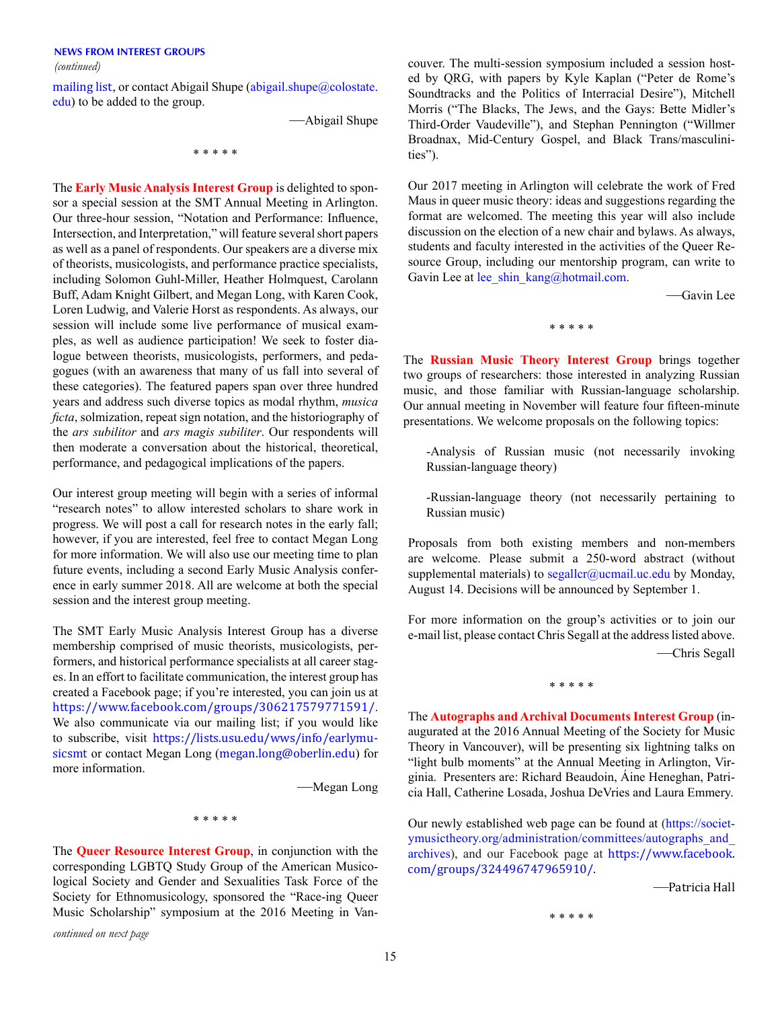*(continued)*

[mailing list](http://lists.societymusictheory.org/listinfo.cgi/socialrespons-societymusictheory.org), or contact Abigail Shupe (abigail.shupe $@$ colostate. [edu\)](mailto:abigail.shupe%40colostate.edu?subject=) to be added to the group.

—Abigail Shupe

\* \* \* \* \*

The **Early Music Analysis Interest Group** is delighted to sponsor a special session at the SMT Annual Meeting in Arlington. Our three-hour session, "Notation and Performance: Influence, Intersection, and Interpretation," will feature several short papers as well as a panel of respondents. Our speakers are a diverse mix of theorists, musicologists, and performance practice specialists, including Solomon Guhl-Miller, Heather Holmquest, Carolann Buff, Adam Knight Gilbert, and Megan Long, with Karen Cook, Loren Ludwig, and Valerie Horst as respondents. As always, our session will include some live performance of musical examples, as well as audience participation! We seek to foster dialogue between theorists, musicologists, performers, and pedagogues (with an awareness that many of us fall into several of these categories). The featured papers span over three hundred years and address such diverse topics as modal rhythm, *musica ficta*, solmization, repeat sign notation, and the historiography of the *ars subilitor* and *ars magis subiliter*. Our respondents will then moderate a conversation about the historical, theoretical, performance, and pedagogical implications of the papers.

Our interest group meeting will begin with a series of informal "research notes" to allow interested scholars to share work in progress. We will post a call for research notes in the early fall; however, if you are interested, feel free to contact Megan Long for more information. We will also use our meeting time to plan future events, including a second Early Music Analysis conference in early summer 2018. All are welcome at both the special session and the interest group meeting.

The SMT Early Music Analysis Interest Group has a diverse membership comprised of music theorists, musicologists, performers, and historical performance specialists at all career stages. In an effort to facilitate communication, the interest group has created a Facebook page; if you're interested, you can join us at <https://www.facebook.com/groups/306217579771591/>. We also communicate via our mailing list; if you would like to subscribe, visit [https://lists.usu.edu/wws/info/earlymu](https://lists.usu.edu/wws/info/earlymusicsmt)[sicsmt](https://lists.usu.edu/wws/info/earlymusicsmt) or contact Megan Long ([megan.long@oberlin.edu](mailto:megan.long@oberlin.edu)) for more information.

—Megan Long

\* \* \* \* \*

The **Queer Resource Interest Group**, in conjunction with the corresponding LGBTQ Study Group of the American Musicological Society and Gender and Sexualities Task Force of the Society for Ethnomusicology, sponsored the "Race-ing Queer Music Scholarship" symposium at the 2016 Meeting in Van-

*continued on next page*

couver. The multi-session symposium included a session hosted by QRG, with papers by Kyle Kaplan ("Peter de Rome's Soundtracks and the Politics of Interracial Desire"), Mitchell Morris ("The Blacks, The Jews, and the Gays: Bette Midler's Third-Order Vaudeville"), and Stephan Pennington ("Willmer Broadnax, Mid-Century Gospel, and Black Trans/masculinities").

Our 2017 meeting in Arlington will celebrate the work of Fred Maus in queer music theory: ideas and suggestions regarding the format are welcomed. The meeting this year will also include discussion on the election of a new chair and bylaws. As always, students and faculty interested in the activities of the Queer Resource Group, including our mentorship program, can write to Gavin Lee at [lee\\_shin\\_kang@hotmail.com.](mailto:lee_shin_kang%40hotmail.com?subject=)

—Gavin Lee

\* \* \* \* \*

The **Russian Music Theory Interest Group** brings together two groups of researchers: those interested in analyzing Russian music, and those familiar with Russian-language scholarship. Our annual meeting in November will feature four fifteen-minute presentations. We welcome proposals on the following topics:

- -Analysis of Russian music (not necessarily invoking Russian-language theory)
- -Russian-language theory (not necessarily pertaining to Russian music)

Proposals from both existing members and non-members are welcome. Please submit a 250-word abstract (without supplemental materials) to [segallcr@ucmail.uc.edu](mailto:segallcr%40ucmail.uc.edu?subject=) by Monday, August 14. Decisions will be announced by September 1.

For more information on the group's activities or to join our e-mail list, please contact Chris Segall at the address listed above. —Chris Segall

\* \* \* \* \*

The **Autographs and Archival Documents Interest Group** (inaugurated at the 2016 Annual Meeting of the Society for Music Theory in Vancouver), will be presenting six lightning talks on "light bulb moments" at the Annual Meeting in Arlington, Virginia. Presenters are: Richard Beaudoin, Áine Heneghan, Patricia Hall, Catherine Losada, Joshua DeVries and Laura Emmery.

Our newly established web page can be found at ([https://societ](https://societymusictheory.org/administration/committees/autographs_and_archives)[ymusictheory.org/administration/committees/autographs\\_and\\_](https://societymusictheory.org/administration/committees/autographs_and_archives) [archives\)](https://societymusictheory.org/administration/committees/autographs_and_archives), and our Facebook page at [https://www.facebook.](https://www.facebook.com/groups/324496747965910/) [com/groups/324496747965910/.](https://www.facebook.com/groups/324496747965910/)

—Patricia Hall

\* \* \* \* \*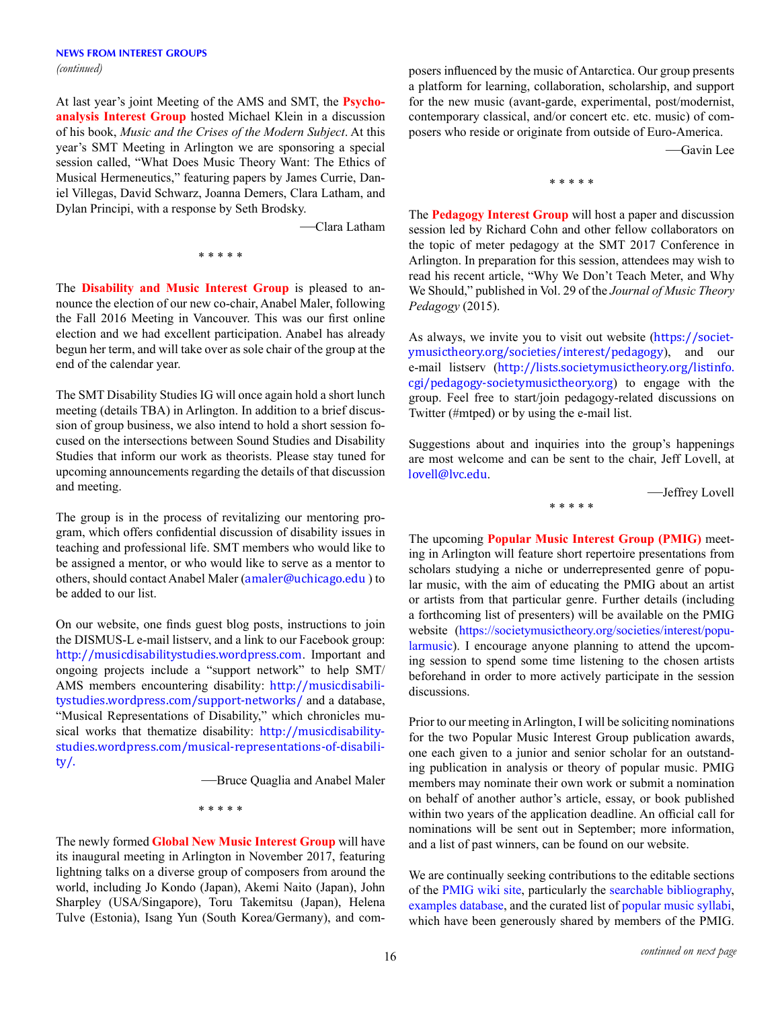At last year's joint Meeting of the AMS and SMT, the **Psychoanalysis Interest Group** hosted Michael Klein in a discussion of his book, *Music and the Crises of the Modern Subject*. At this year's SMT Meeting in Arlington we are sponsoring a special session called, "What Does Music Theory Want: The Ethics of Musical Hermeneutics," featuring papers by James Currie, Daniel Villegas, David Schwarz, Joanna Demers, Clara Latham, and Dylan Principi, with a response by Seth Brodsky.

—Clara Latham

\* \* \* \* \*

The **Disability and Music Interest Group** is pleased to announce the election of our new co-chair, Anabel Maler, following the Fall 2016 Meeting in Vancouver. This was our first online election and we had excellent participation. Anabel has already begun her term, and will take over as sole chair of the group at the end of the calendar year.

The SMT Disability Studies IG will once again hold a short lunch meeting (details TBA) in Arlington. In addition to a brief discussion of group business, we also intend to hold a short session focused on the intersections between Sound Studies and Disability Studies that inform our work as theorists. Please stay tuned for upcoming announcements regarding the details of that discussion and meeting.

The group is in the process of revitalizing our mentoring program, which offers confidential discussion of disability issues in teaching and professional life. SMT members who would like to be assigned a mentor, or who would like to serve as a mentor to others, should contact Anabel Maler ([amaler@uchicago.edu](mailto:amaler@uchicago.edu) ) to be added to our list.

On our website, one finds guest blog posts, instructions to join the DISMUS-L e-mail listserv, and a link to our Facebook group: <http://musicdisabilitystudies.wordpress.com>. Important and ongoing projects include a "support network" to help SMT/ AMS members encountering disability: [http://musicdisabili](http://musicdisabilitystudies.wordpress.com/support-networks/)[tystudies.wordpress.com/support-networks/](http://musicdisabilitystudies.wordpress.com/support-networks/) and a database, "Musical Representations of Disability," which chronicles musical works that thematize disability: [http://musicdisability](http://musicdisabilitystudies.wordpress.com/musical-representations-of-disability/)[studies.wordpress.com/musical-representations-of-disabili](http://musicdisabilitystudies.wordpress.com/musical-representations-of-disability/)[ty/](http://musicdisabilitystudies.wordpress.com/musical-representations-of-disability/).

—Bruce Quaglia and Anabel Maler

\* \* \* \* \*

The newly formed **Global New Music Interest Group** will have its inaugural meeting in Arlington in November 2017, featuring lightning talks on a diverse group of composers from around the world, including Jo Kondo (Japan), Akemi Naito (Japan), John Sharpley (USA/Singapore), Toru Takemitsu (Japan), Helena Tulve (Estonia), Isang Yun (South Korea/Germany), and composers influenced by the music of Antarctica. Our group presents a platform for learning, collaboration, scholarship, and support for the new music (avant-garde, experimental, post/modernist, contemporary classical, and/or concert etc. etc. music) of composers who reside or originate from outside of Euro-America.

—Gavin Lee

\* \* \* \* \*

The **Pedagogy Interest Group** will host a paper and discussion session led by Richard Cohn and other fellow collaborators on the topic of meter pedagogy at the SMT 2017 Conference in Arlington. In preparation for this session, attendees may wish to read his recent article, "Why We Don't Teach Meter, and Why We Should," published in Vol. 29 of the *Journal of Music Theory Pedagogy* (2015).

As always, we invite you to visit out website ([https://societ](https://societymusictheory.org/societies/interest/pedagogy)[ymusictheory.org/societies/interest/pedagogy](https://societymusictheory.org/societies/interest/pedagogy)), and our e-mail listserv ([http://lists.societymusictheory.org/listinfo.](http://lists.societymusictheory.org/listinfo.cgi/pedagogy-societymusictheory.org) [cgi/pedagogy-societymusictheory.org](http://lists.societymusictheory.org/listinfo.cgi/pedagogy-societymusictheory.org)) to engage with the group. Feel free to start/join pedagogy-related discussions on Twitter (#mtped) or by using the e-mail list.

Suggestions about and inquiries into the group's happenings are most welcome and can be sent to the chair, Jeff Lovell, at [lovell@lvc.edu](mailto:lovell@lvc.edu).

\* \* \* \* \*

—Jeffrey Lovell

The upcoming **Popular Music Interest Group (PMIG)** meeting in Arlington will feature short repertoire presentations from scholars studying a niche or underrepresented genre of popular music, with the aim of educating the PMIG about an artist or artists from that particular genre. Further details (including a forthcoming list of presenters) will be available on the PMIG website ([https://societymusictheory.org/societies/interest/popu](https://societymusictheory.org/societies/interest/popularmusic)[larmusic](https://societymusictheory.org/societies/interest/popularmusic)). I encourage anyone planning to attend the upcoming session to spend some time listening to the chosen artists beforehand in order to more actively participate in the session discussions.

Prior to our meeting in Arlington, I will be soliciting nominations for the two Popular Music Interest Group publication awards, one each given to a junior and senior scholar for an outstanding publication in analysis or theory of popular music. PMIG members may nominate their own work or submit a nomination on behalf of another author's article, essay, or book published within two years of the application deadline. An official call for nominations will be sent out in September; more information, and a list of past winners, can be found on our website.

We are continually seeking contributions to the editable sections of the [PMIG wiki site](http://pmig.wikispaces.com/), particularly the [searchable bibliography](http://pmig.wikispaces.com/PMIG+Bibliography), [examples database](http://pmig.wikispaces.com/Examples+Database), and the curated list of [popular music syllabi](http://pmig.wikispaces.com/Popular+Music+Syllabi), which have been generously shared by members of the PMIG.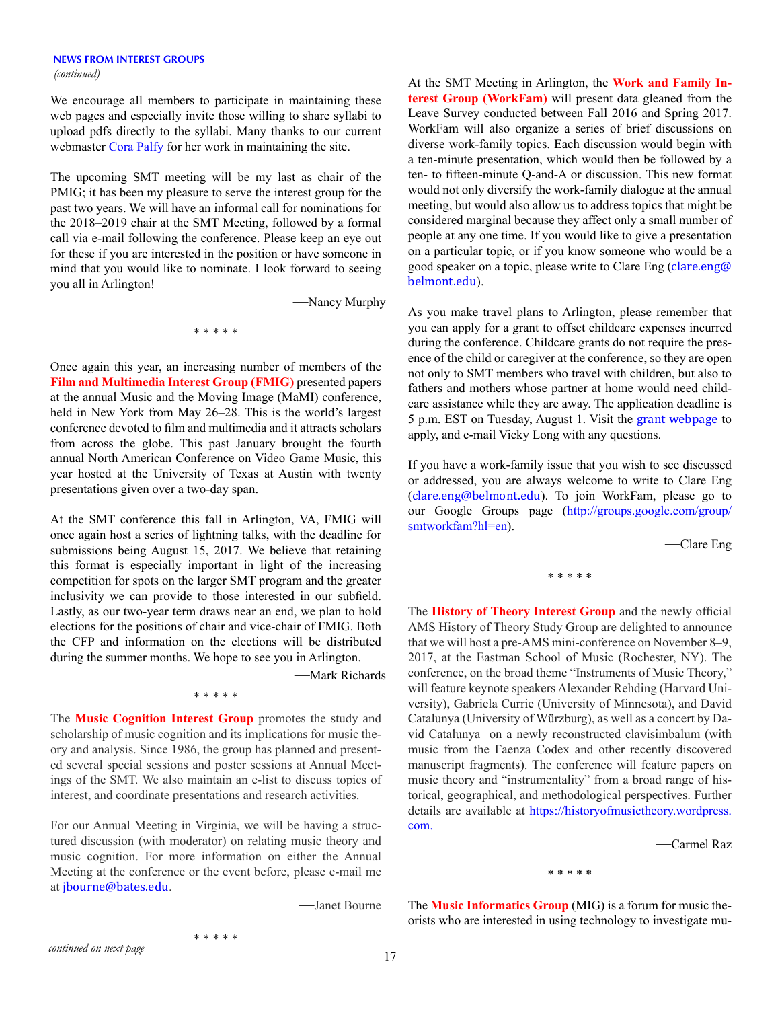# **NEWS FROM INTEREST GROUPS**

We encourage all members to participate in maintaining these web pages and especially invite those willing to share syllabi to upload pdfs directly to the syllabi. Many thanks to our current webmaster [Cora Palfy](mailto:cpalfy2173@gmail.com) for her work in maintaining the site.

The upcoming SMT meeting will be my last as chair of the PMIG; it has been my pleasure to serve the interest group for the past two years. We will have an informal call for nominations for the 2018–2019 chair at the SMT Meeting, followed by a formal call via e-mail following the conference. Please keep an eye out for these if you are interested in the position or have someone in mind that you would like to nominate. I look forward to seeing you all in Arlington!

—Nancy Murphy

\* \* \* \* \*

Once again this year, an increasing number of members of the **Film and Multimedia Interest Group (FMIG)** presented papers at the annual Music and the Moving Image (MaMI) conference, held in New York from May 26–28. This is the world's largest conference devoted to film and multimedia and it attracts scholars from across the globe. This past January brought the fourth annual North American Conference on Video Game Music, this year hosted at the University of Texas at Austin with twenty presentations given over a two-day span.

At the SMT conference this fall in Arlington, VA, FMIG will once again host a series of lightning talks, with the deadline for submissions being August 15, 2017. We believe that retaining this format is especially important in light of the increasing competition for spots on the larger SMT program and the greater inclusivity we can provide to those interested in our subfield. Lastly, as our two-year term draws near an end, we plan to hold elections for the positions of chair and vice-chair of FMIG. Both the CFP and information on the elections will be distributed during the summer months. We hope to see you in Arlington.

—Mark Richards

The **Music Cognition Interest Group** promotes the study and scholarship of music cognition and its implications for music theory and analysis. Since 1986, the group has planned and presented several special sessions and poster sessions at Annual Meetings of the SMT. We also maintain an e-list to discuss topics of interest, and coordinate presentations and research activities.

\* \* \* \* \*

For our Annual Meeting in Virginia, we will be having a structured discussion (with moderator) on relating music theory and music cognition. For more information on either the Annual Meeting at the conference or the event before, please e-mail me at [jbourne@bates.edu](mailto:jbourne@bates.edu).

\* \* \* \* \*

—Janet Bourne

*(continued)* At the SMT Meeting in Arlington, the **Work and Family Interest Group (WorkFam)** will present data gleaned from the Leave Survey conducted between Fall 2016 and Spring 2017. WorkFam will also organize a series of brief discussions on diverse work-family topics. Each discussion would begin with a ten-minute presentation, which would then be followed by a ten- to fifteen-minute Q-and-A or discussion. This new format would not only diversify the work-family dialogue at the annual meeting, but would also allow us to address topics that might be considered marginal because they affect only a small number of people at any one time. If you would like to give a presentation on a particular topic, or if you know someone who would be a good speaker on a topic, please write to Clare Eng ([clare.eng@](mailto:clare.eng@belmont.edu) [belmont.edu](mailto:clare.eng@belmont.edu)).

> As you make travel plans to Arlington, please remember that you can apply for a grant to offset childcare expenses incurred during the conference. Childcare grants do not require the presence of the child or caregiver at the conference, so they are open not only to SMT members who travel with children, but also to fathers and mothers whose partner at home would need childcare assistance while they are away. The application deadline is 5 p.m. EST on Tuesday, August 1. Visit the [grant webpage](https://societymusictheory.org/grants/childcare) to apply, and e-mail Vicky Long with any questions.

> If you have a work-family issue that you wish to see discussed or addressed, you are always welcome to write to Clare Eng ([clare.eng@belmont.edu](mailto:clare.eng@belmont.edu)). To join WorkFam, please go to our Google Groups page [\(http://groups.google.com/group/](http://groups.google.com/group/smtworkfam?hl=en) [smtworkfam?hl=en](http://groups.google.com/group/smtworkfam?hl=en)).

> > —Clare Eng

\* \* \* \* \*

The **History of Theory Interest Group** and the newly official AMS History of Theory Study Group are delighted to announce that we will host a pre-AMS mini-conference on November 8–9, 2017, at the Eastman School of Music (Rochester, NY). The conference, on the broad theme "Instruments of Music Theory," will feature keynote speakers Alexander Rehding (Harvard University), Gabriela Currie (University of Minnesota), and David Catalunya (University of Würzburg), as well as a concert by David Catalunya on a newly reconstructed clavisimbalum (with music from the Faenza Codex and other recently discovered manuscript fragments). The conference will feature papers on music theory and "instrumentality" from a broad range of historical, geographical, and methodological perspectives. Further details are available at [https://historyofmusictheory.wordpress.](https://historyofmusictheory.wordpress.com/) [com.](https://historyofmusictheory.wordpress.com/)

—Carmel Raz

\* \* \* \* \*

The **Music Informatics Group** (MIG) is a forum for music theorists who are interested in using technology to investigate mu-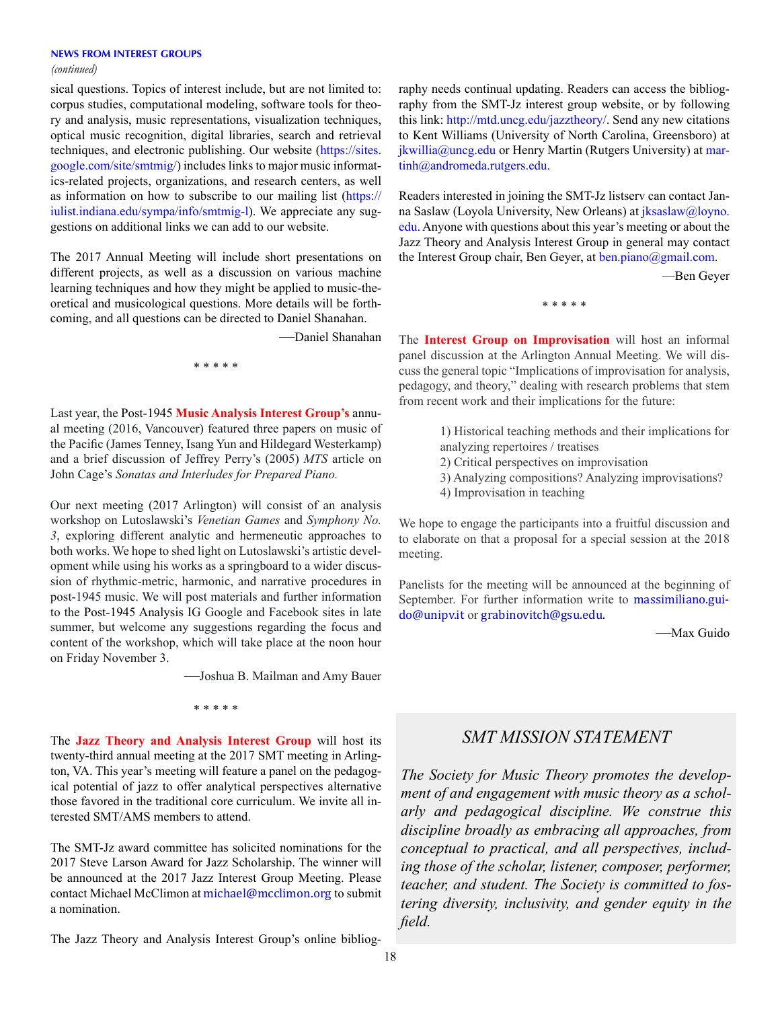#### **NEWS FROM INTEREST GROUPS**

*(continued)*

sical questions. Topics of interest include, but are not limited to: corpus studies, computational modeling, software tools for theory and analysis, music representations, visualization techniques, optical music recognition, digital libraries, search and retrieval techniques, and electronic publishing. Our website [\(https://sites.](https://sites.google.com/site/smtmig/) [google.com/site/smtmig/\)](https://sites.google.com/site/smtmig/) includes links to major music informatics-related projects, organizations, and research centers, as well as information on how to subscribe to our mailing list ([https://](https://iulist.indiana.edu/sympa/info/smtmig-l) [iulist.indiana.edu/sympa/info/smtmig-l](https://iulist.indiana.edu/sympa/info/smtmig-l)). We appreciate any suggestions on additional links we can add to our website.

The 2017 Annual Meeting will include short presentations on different projects, as well as a discussion on various machine learning techniques and how they might be applied to music-theoretical and musicological questions. More details will be forthcoming, and all questions can be directed to Daniel Shanahan.

—Daniel Shanahan

\* \* \* \* \*

Last year, the Post-1945 **Music Analysis Interest Group's** annual meeting (2016, Vancouver) featured three papers on music of the Pacific (James Tenney, Isang Yun and Hildegard Westerkamp) and a brief discussion of Jeffrey Perry's (2005) *MTS* article on John Cage's *Sonatas and Interludes for Prepared Piano.*

Our next meeting (2017 Arlington) will consist of an analysis workshop on Lutoslawski's *Venetian Games* and *Symphony No. 3*, exploring different analytic and hermeneutic approaches to both works. We hope to shed light on Lutoslawski's artistic development while using his works as a springboard to a wider discussion of rhythmic-metric, harmonic, and narrative procedures in post-1945 music. We will post materials and further information to the Post-1945 Analysis IG Google and Facebook sites in late summer, but welcome any suggestions regarding the focus and content of the workshop, which will take place at the noon hour on Friday November 3.

—Joshua B. Mailman and Amy Bauer

\* \* \* \* \*

The **Jazz Theory and Analysis Interest Group** will host its twenty-third annual meeting at the 2017 SMT meeting in Arlington, VA. This year's meeting will feature a panel on the pedagogical potential of jazz to offer analytical perspectives alternative those favored in the traditional core curriculum. We invite all interested SMT/AMS members to attend.

The SMT-Jz award committee has solicited nominations for the 2017 Steve Larson Award for Jazz Scholarship. The winner will be announced at the 2017 Jazz Interest Group Meeting. Please contact Michael McClimon at [michael@mcclimon.org](mailto:michael@mcclimon.org) to submit a nomination.

The Jazz Theory and Analysis Interest Group's online bibliog-

raphy needs continual updating. Readers can access the bibliography from the SMT-Jz interest group website, or by following this link: <http://mtd.uncg.edu/jazztheory/>. Send any new citations to Kent Williams (University of North Carolina, Greensboro) at  $jkwillia@uneg.edu$  or Henry Martin (Rutgers University) at [mar](mailto:martinh%40andromeda.rutgers.edu?subject=)[tinh@andromeda.rutgers.edu.](mailto:martinh%40andromeda.rutgers.edu?subject=)

Readers interested in joining the SMT-Jz listserv can contact Janna Saslaw (Loyola University, New Orleans) at [jksaslaw@loyno.](mailto:jksaslaw%40loyno.edu?subject=) [edu.](mailto:jksaslaw%40loyno.edu?subject=) Anyone with questions about this year's meeting or about the Jazz Theory and Analysis Interest Group in general may contact the Interest Group chair, Ben Geyer, at [ben.piano@gmail.com](mailto:ben.piano%40gmail.com?subject=).

—Ben Geyer

\* \* \* \* \*

The **Interest Group on Improvisation** will host an informal panel discussion at the Arlington Annual Meeting. We will discuss the general topic "Implications of improvisation for analysis, pedagogy, and theory," dealing with research problems that stem from recent work and their implications for the future:

- 1) Historical teaching methods and their implications for analyzing repertoires / treatises
- 2) Critical perspectives on improvisation
- 3) Analyzing compositions? Analyzing improvisations?
- 4) Improvisation in teaching

We hope to engage the participants into a fruitful discussion and to elaborate on that a proposal for a special session at the 2018 meeting.

Panelists for the meeting will be announced at the beginning of September. For further information write to [massimiliano.gui](mailto:massimiliano.guido@unipv.it)[do@unipv.it](mailto:massimiliano.guido@unipv.it) or [grabinovitch@gsu.edu](mailto:grabinovitch@gsu.edu).

—Max Guido

# *SMT MISSION STATEMENT*

*The Society for Music Theory promotes the development of and engagement with music theory as a scholarly and pedagogical discipline. We construe this discipline broadly as embracing all approaches, from conceptual to practical, and all perspectives, including those of the scholar, listener, composer, performer, teacher, and student. The Society is committed to fostering diversity, inclusivity, and gender equity in the field.*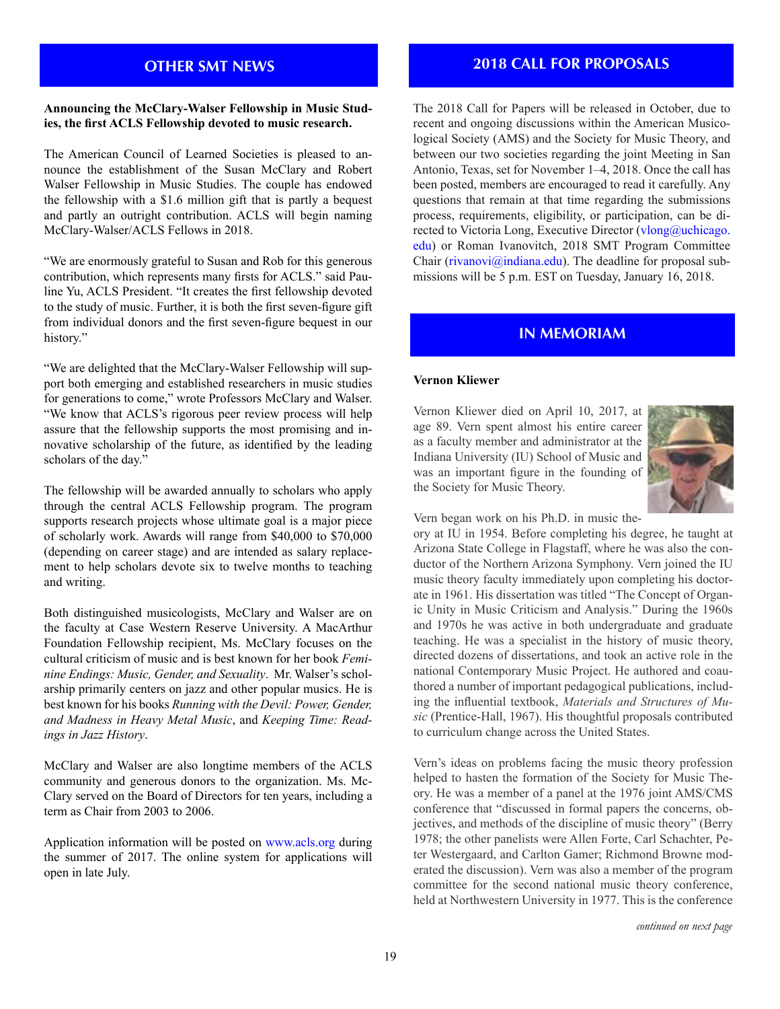# **OTHER SMT NEWS**

#### **Announcing the McClary-Walser Fellowship in Music Studies, the first ACLS Fellowship devoted to music research.**

The American Council of Learned Societies is pleased to announce the establishment of the Susan McClary and Robert Walser Fellowship in Music Studies. The couple has endowed the fellowship with a \$1.6 million gift that is partly a bequest and partly an outright contribution. ACLS will begin naming McClary-Walser/ACLS Fellows in 2018.

"We are enormously grateful to Susan and Rob for this generous contribution, which represents many firsts for ACLS." said Pauline Yu, ACLS President. "It creates the first fellowship devoted to the study of music. Further, it is both the first seven-figure gift from individual donors and the first seven-figure bequest in our history."

"We are delighted that the McClary-Walser Fellowship will support both emerging and established researchers in music studies for generations to come," wrote Professors McClary and Walser. "We know that ACLS's rigorous peer review process will help assure that the fellowship supports the most promising and innovative scholarship of the future, as identified by the leading scholars of the day."

The fellowship will be awarded annually to scholars who apply through the central ACLS Fellowship program. The program supports research projects whose ultimate goal is a major piece of scholarly work. Awards will range from \$40,000 to \$70,000 (depending on career stage) and are intended as salary replacement to help scholars devote six to twelve months to teaching and writing.

Both distinguished musicologists, McClary and Walser are on the faculty at Case Western Reserve University. A MacArthur Foundation Fellowship recipient, Ms. McClary focuses on the cultural criticism of music and is best known for her book *Feminine Endings: Music, Gender, and Sexuality*. Mr. Walser's scholarship primarily centers on jazz and other popular musics. He is best known for his books *Running with the Devil: Power, Gender, and Madness in Heavy Metal Music*, and *Keeping Time: Readings in Jazz History*.

McClary and Walser are also longtime members of the ACLS community and generous donors to the organization. Ms. Mc-Clary served on the Board of Directors for ten years, including a term as Chair from 2003 to 2006.

Application information will be posted on [www.acls.org](http://www.acls.org/) during the summer of 2017. The online system for applications will open in late July.

## **2018 CALL FOR PROPOSALS**

The 2018 Call for Papers will be released in October, due to recent and ongoing discussions within the American Musicological Society (AMS) and the Society for Music Theory, and between our two societies regarding the joint Meeting in San Antonio, Texas, set for November 1–4, 2018. Once the call has been posted, members are encouraged to read it carefully. Any questions that remain at that time regarding the submissions process, requirements, eligibility, or participation, can be directed to Victoria Long, Executive Director ([vlong@uchicago.](mailto:vlong@uchicago.edu) [edu\)](mailto:vlong@uchicago.edu) or Roman Ivanovitch, 2018 SMT Program Committee Chair ( $rivanovi@indiana.edu$ ). The deadline for proposal submissions will be 5 p.m. EST on Tuesday, January 16, 2018.

## **IN MEMORIAM**

#### **Vernon Kliewer**

Vernon Kliewer died on April 10, 2017, at age 89. Vern spent almost his entire career as a faculty member and administrator at the Indiana University (IU) School of Music and was an important figure in the founding of the Society for Music Theory.



Vern began work on his Ph.D. in music the-

ory at IU in 1954. Before completing his degree, he taught at Arizona State College in Flagstaff, where he was also the conductor of the Northern Arizona Symphony. Vern joined the IU music theory faculty immediately upon completing his doctorate in 1961. His dissertation was titled "The Concept of Organic Unity in Music Criticism and Analysis." During the 1960s and 1970s he was active in both undergraduate and graduate teaching. He was a specialist in the history of music theory, directed dozens of dissertations, and took an active role in the national Contemporary Music Project. He authored and coauthored a number of important pedagogical publications, including the influential textbook, *Materials and Structures of Music* (Prentice-Hall, 1967). His thoughtful proposals contributed to curriculum change across the United States.

Vern's ideas on problems facing the music theory profession helped to hasten the formation of the Society for Music Theory. He was a member of a panel at the 1976 joint AMS/CMS conference that "discussed in formal papers the concerns, objectives, and methods of the discipline of music theory" (Berry 1978; the other panelists were Allen Forte, Carl Schachter, Peter Westergaard, and Carlton Gamer; Richmond Browne moderated the discussion). Vern was also a member of the program committee for the second national music theory conference, held at Northwestern University in 1977. This is the conference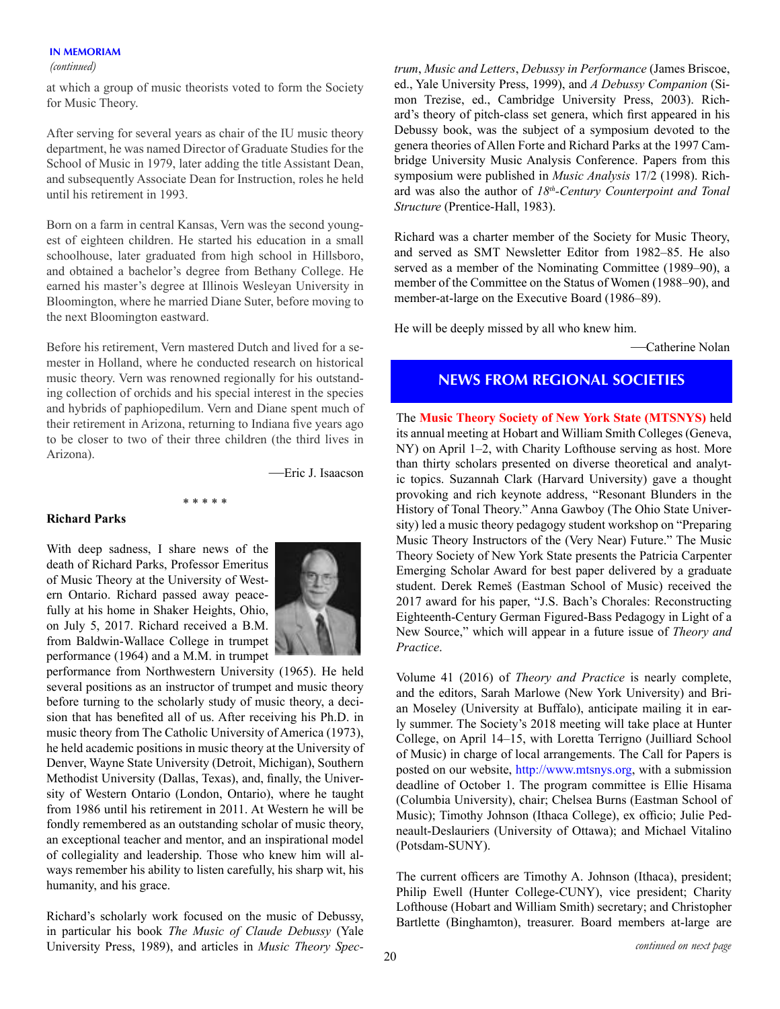#### **IN MEMORIAM**

#### *(continued)*

at which a group of music theorists voted to form the Society for Music Theory.

After serving for several years as chair of the IU music theory department, he was named Director of Graduate Studies for the School of Music in 1979, later adding the title Assistant Dean, and subsequently Associate Dean for Instruction, roles he held until his retirement in 1993.

Born on a farm in central Kansas, Vern was the second youngest of eighteen children. He started his education in a small schoolhouse, later graduated from high school in Hillsboro, and obtained a bachelor's degree from Bethany College. He earned his master's degree at Illinois Wesleyan University in Bloomington, where he married Diane Suter, before moving to the next Bloomington eastward.

Before his retirement, Vern mastered Dutch and lived for a semester in Holland, where he conducted research on historical music theory. Vern was renowned regionally for his outstanding collection of orchids and his special interest in the species and hybrids of paphiopedilum. Vern and Diane spent much of their retirement in Arizona, returning to Indiana five years ago to be closer to two of their three children (the third lives in Arizona).

\* \* \* \* \*

—Eric J. Isaacson

#### **Richard Parks**

With deep sadness, I share news of the death of Richard Parks, Professor Emeritus of Music Theory at the University of Western Ontario. Richard passed away peacefully at his home in Shaker Heights, Ohio, on July 5, 2017. Richard received a B.M. from Baldwin-Wallace College in trumpet performance (1964) and a M.M. in trumpet



performance from Northwestern University (1965). He held several positions as an instructor of trumpet and music theory before turning to the scholarly study of music theory, a decision that has benefited all of us. After receiving his Ph.D. in music theory from The Catholic University of America (1973), he held academic positions in music theory at the University of Denver, Wayne State University (Detroit, Michigan), Southern Methodist University (Dallas, Texas), and, finally, the University of Western Ontario (London, Ontario), where he taught from 1986 until his retirement in 2011. At Western he will be fondly remembered as an outstanding scholar of music theory, an exceptional teacher and mentor, and an inspirational model of collegiality and leadership. Those who knew him will always remember his ability to listen carefully, his sharp wit, his humanity, and his grace.

Richard's scholarly work focused on the music of Debussy, in particular his book *The Music of Claude Debussy* (Yale University Press, 1989), and articles in *Music Theory Spec-* *trum*, *Music and Letters*, *Debussy in Performance* (James Briscoe, ed., Yale University Press, 1999), and *A Debussy Companion* (Simon Trezise, ed., Cambridge University Press, 2003). Richard's theory of pitch-class set genera, which first appeared in his Debussy book, was the subject of a symposium devoted to the genera theories of Allen Forte and Richard Parks at the 1997 Cambridge University Music Analysis Conference. Papers from this symposium were published in *Music Analysis* 17/2 (1998). Richard was also the author of *18th-Century Counterpoint and Tonal Structure* (Prentice-Hall, 1983).

Richard was a charter member of the Society for Music Theory, and served as SMT Newsletter Editor from 1982–85. He also served as a member of the Nominating Committee (1989–90), a member of the Committee on the Status of Women (1988–90), and member-at-large on the Executive Board (1986–89).

He will be deeply missed by all who knew him.

—Catherine Nolan

## **NEWS FROM REGIONAL SOCIETIES**

The **Music Theory Society of New York State (MTSNYS)** held its annual meeting at Hobart and William Smith Colleges (Geneva, NY) on April 1–2, with Charity Lofthouse serving as host. More than thirty scholars presented on diverse theoretical and analytic topics. Suzannah Clark (Harvard University) gave a thought provoking and rich keynote address, "Resonant Blunders in the History of Tonal Theory." Anna Gawboy (The Ohio State University) led a music theory pedagogy student workshop on "Preparing Music Theory Instructors of the (Very Near) Future." The Music Theory Society of New York State presents the Patricia Carpenter Emerging Scholar Award for best paper delivered by a graduate student. Derek Remeš (Eastman School of Music) received the 2017 award for his paper, "J.S. Bach's Chorales: Reconstructing Eighteenth-Century German Figured-Bass Pedagogy in Light of a New Source," which will appear in a future issue of *Theory and Practice*.

Volume 41 (2016) of *Theory and Practice* is nearly complete, and the editors, Sarah Marlowe (New York University) and Brian Moseley (University at Buffalo), anticipate mailing it in early summer. The Society's 2018 meeting will take place at Hunter College, on April 14–15, with Loretta Terrigno (Juilliard School of Music) in charge of local arrangements. The Call for Papers is posted on our website, <http://www.mtsnys.org>, with a submission deadline of October 1. The program committee is Ellie Hisama (Columbia University), chair; Chelsea Burns (Eastman School of Music); Timothy Johnson (Ithaca College), ex officio; Julie Pedneault-Deslauriers (University of Ottawa); and Michael Vitalino (Potsdam-SUNY).

The current officers are Timothy A. Johnson (Ithaca), president; Philip Ewell (Hunter College-CUNY), vice president; Charity Lofthouse (Hobart and William Smith) secretary; and Christopher Bartlette (Binghamton), treasurer. Board members at-large are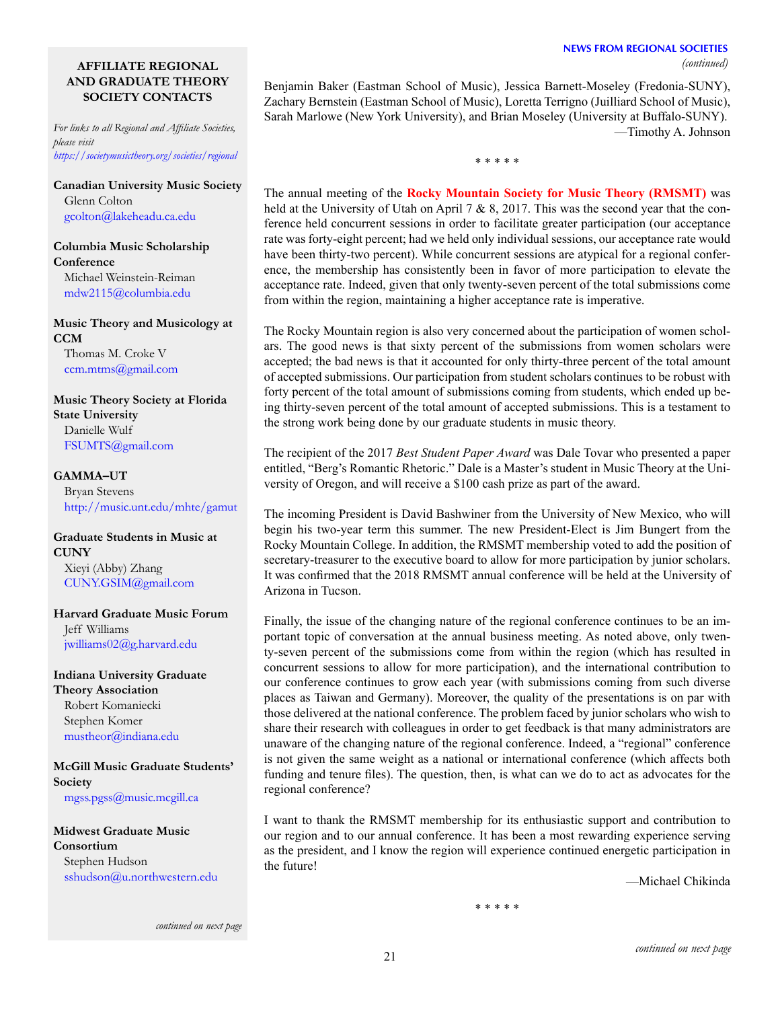#### **NEWS FROM REGIONAL SOCIETIES** *(continued)*

## **AFFILIATE REGIONAL AND GRADUATE THEORY SOCIETY CONTACTS**

*For links to all Regional and Affiliate Societies, please visit <https://societymusictheory.org/societies/regional>*

**Canadian University Music Society** Glenn Colton [gcolton@lakeheadu.ca](mailto:gcolton%40lakeheadu.ca.edu?subject=).edu

**Columbia Music Scholarship Conference** Michael Weinstein-Reiman [mdw2115@columbia.edu](mailto:mdw2115%40columbia.edu?subject=)

**Music Theory and Musicology at CCM** Thomas M. Croke V [ccm.mtms@gmail.com](mailto:ccm.mtms%40gmail.com?subject=)

**Music Theory Society at Florida State University** Danielle Wulf FSUMT[S@gmail.com](mailto:FSUMTS%40gmail.com?subject=)

#### **GAMMA–UT**

Bryan Stevens <http://music.unt.edu/mhte/gamut>

## **Graduate Students in Music at CUNY**

Xieyi (Abby) Zhang [CUNY.GSIM@gmail.com](mailto:CUNY.GSIM%40gmail.com?subject=)

**Harvard Graduate Music Forum** Jeff Williams [jwilliams02@g.harvard.edu](mailto:jwilliams02%40g.harvard.edu%0D?subject=)

**Indiana University Graduate Theory Association** Robert Komaniecki Stephen Komer [mustheor@indiana.edu](mailto:mustheor%40indiana.edu?subject=)

**McGill Music Graduate Students' Society**

[mgss.pgss@music.mcgill.ca](mailto:mgss.pgss%40music.mcgill.ca%20?subject=)

**Midwest Graduate Music Consortium** Stephen Hudson [sshudson@u.northwestern.edu](mailto:sshudson%40u.northwestern.edu?subject=) Benjamin Baker (Eastman School of Music), Jessica Barnett-Moseley (Fredonia-SUNY), Zachary Bernstein (Eastman School of Music), Loretta Terrigno (Juilliard School of Music), Sarah Marlowe (New York University), and Brian Moseley (University at Buffalo-SUNY). —Timothy A. Johnson

\* \* \* \* \*

The annual meeting of the **Rocky Mountain Society for Music Theory (RMSMT)** was held at the University of Utah on April 7 & 8, 2017. This was the second year that the conference held concurrent sessions in order to facilitate greater participation (our acceptance rate was forty-eight percent; had we held only individual sessions, our acceptance rate would have been thirty-two percent). While concurrent sessions are atypical for a regional conference, the membership has consistently been in favor of more participation to elevate the acceptance rate. Indeed, given that only twenty-seven percent of the total submissions come from within the region, maintaining a higher acceptance rate is imperative.

The Rocky Mountain region is also very concerned about the participation of women scholars. The good news is that sixty percent of the submissions from women scholars were accepted; the bad news is that it accounted for only thirty-three percent of the total amount of accepted submissions. Our participation from student scholars continues to be robust with forty percent of the total amount of submissions coming from students, which ended up being thirty-seven percent of the total amount of accepted submissions. This is a testament to the strong work being done by our graduate students in music theory.

The recipient of the 2017 *Best Student Paper Award* was Dale Tovar who presented a paper entitled, "Berg's Romantic Rhetoric." Dale is a Master's student in Music Theory at the University of Oregon, and will receive a \$100 cash prize as part of the award.

The incoming President is David Bashwiner from the University of New Mexico, who will begin his two-year term this summer. The new President-Elect is Jim Bungert from the Rocky Mountain College. In addition, the RMSMT membership voted to add the position of secretary-treasurer to the executive board to allow for more participation by junior scholars. It was confirmed that the 2018 RMSMT annual conference will be held at the University of Arizona in Tucson.

Finally, the issue of the changing nature of the regional conference continues to be an important topic of conversation at the annual business meeting. As noted above, only twenty-seven percent of the submissions come from within the region (which has resulted in concurrent sessions to allow for more participation), and the international contribution to our conference continues to grow each year (with submissions coming from such diverse places as Taiwan and Germany). Moreover, the quality of the presentations is on par with those delivered at the national conference. The problem faced by junior scholars who wish to share their research with colleagues in order to get feedback is that many administrators are unaware of the changing nature of the regional conference. Indeed, a "regional" conference is not given the same weight as a national or international conference (which affects both funding and tenure files). The question, then, is what can we do to act as advocates for the regional conference?

I want to thank the RMSMT membership for its enthusiastic support and contribution to our region and to our annual conference. It has been a most rewarding experience serving as the president, and I know the region will experience continued energetic participation in the future!

—Michael Chikinda

\* \* \* \* \*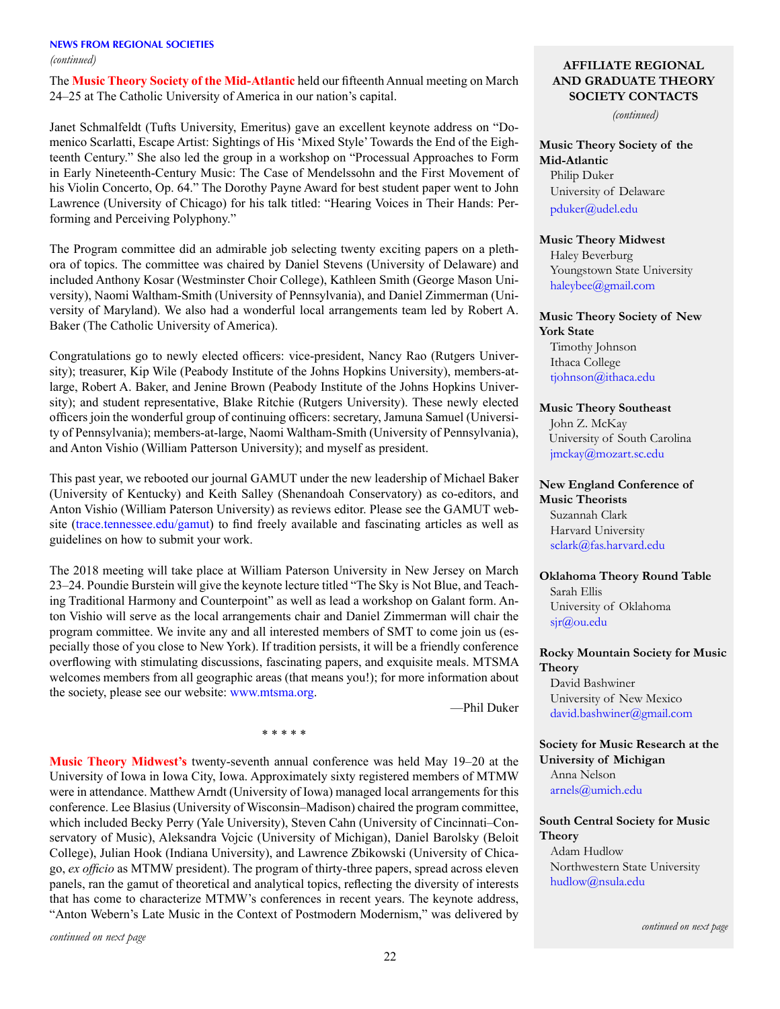The **Music Theory Society of the Mid-Atlantic** held our fifteenth Annual meeting on March 24–25 at The Catholic University of America in our nation's capital.

Janet Schmalfeldt (Tufts University, Emeritus) gave an excellent keynote address on "Domenico Scarlatti, Escape Artist: Sightings of His 'Mixed Style' Towards the End of the Eighteenth Century." She also led the group in a workshop on "Processual Approaches to Form in Early Nineteenth-Century Music: The Case of Mendelssohn and the First Movement of his Violin Concerto, Op. 64." The Dorothy Payne Award for best student paper went to John Lawrence (University of Chicago) for his talk titled: "Hearing Voices in Their Hands: Performing and Perceiving Polyphony."

The Program committee did an admirable job selecting twenty exciting papers on a plethora of topics. The committee was chaired by Daniel Stevens (University of Delaware) and included Anthony Kosar (Westminster Choir College), Kathleen Smith (George Mason University), Naomi Waltham-Smith (University of Pennsylvania), and Daniel Zimmerman (University of Maryland). We also had a wonderful local arrangements team led by Robert A. Baker (The Catholic University of America).

Congratulations go to newly elected officers: vice-president, Nancy Rao (Rutgers University); treasurer, Kip Wile (Peabody Institute of the Johns Hopkins University), members-atlarge, Robert A. Baker, and Jenine Brown (Peabody Institute of the Johns Hopkins University); and student representative, Blake Ritchie (Rutgers University). These newly elected officers join the wonderful group of continuing officers: secretary, Jamuna Samuel (University of Pennsylvania); members-at-large, Naomi Waltham-Smith (University of Pennsylvania), and Anton Vishio (William Patterson University); and myself as president.

This past year, we rebooted our journal GAMUT under the new leadership of Michael Baker (University of Kentucky) and Keith Salley (Shenandoah Conservatory) as co-editors, and Anton Vishio (William Paterson University) as reviews editor. Please see the GAMUT website ([trace.tennessee.edu/gamut](http://trace.tennessee.edu/gamut)) to find freely available and fascinating articles as well as guidelines on how to submit your work.

The 2018 meeting will take place at William Paterson University in New Jersey on March 23–24. Poundie Burstein will give the keynote lecture titled "The Sky is Not Blue, and Teaching Traditional Harmony and Counterpoint" as well as lead a workshop on Galant form. Anton Vishio will serve as the local arrangements chair and Daniel Zimmerman will chair the program committee. We invite any and all interested members of SMT to come join us (especially those of you close to New York). If tradition persists, it will be a friendly conference overflowing with stimulating discussions, fascinating papers, and exquisite meals. MTSMA welcomes members from all geographic areas (that means you!); for more information about the society, please see our website: [www.mtsma.org.](http://www.mtsma.org)

\* \* \* \* \*

—Phil Duker

**Music Theory Midwest's** twenty-seventh annual conference was held May 19–20 at the University of Iowa in Iowa City, Iowa. Approximately sixty registered members of MTMW were in attendance. Matthew Arndt (University of Iowa) managed local arrangements for this conference. Lee Blasius (University of Wisconsin–Madison) chaired the program committee, which included Becky Perry (Yale University), Steven Cahn (University of Cincinnati–Conservatory of Music), Aleksandra Vojcic (University of Michigan), Daniel Barolsky (Beloit College), Julian Hook (Indiana University), and Lawrence Zbikowski (University of Chicago, *ex officio* as MTMW president). The program of thirty-three papers, spread across eleven panels, ran the gamut of theoretical and analytical topics, reflecting the diversity of interests that has come to characterize MTMW's conferences in recent years. The keynote address, "Anton Webern's Late Music in the Context of Postmodern Modernism," was delivered by

*continued on next page*

### **AFFILIATE REGIONAL AND GRADUATE THEORY SOCIETY CONTACTS**

*(continued)*

**Music Theory Society of the Mid-Atlantic** Philip Duker University of Delaware [pduker@udel.edu](mailto:pduker%40udel.edu?subject=)

## **Music Theory Midwest**

Haley Beverburg Youngstown State University [haleybee@gmail.com](mailto:haleybee%40gmail.com?subject=)

### **Music Theory Society of New York State** Timothy Johnson

Ithaca College [tjohnson@ithaca.edu](mailto:tjohnson%40ithaca.edu?subject=)

## **Music Theory Southeast**

John Z. McKay University of South Carolina [jmckay@mozart.sc.edu](mailto:jmckay%40mozart.sc.edu?subject=) 

### **New England Conference of Music Theorists** Suzannah Clark Harvard University [sclark@fas.harvard.edu](mailto:sclark%40fas.harvard.edu?subject=)

# **Oklahoma Theory Round Table** Sarah Ellis

University of Oklahoma sj[r@ou.edu](mailto:sjr%40ou.edu?subject=)

## **Rocky Mountain Society for Music Theory**

David Bashwiner University of New Mexico [david.bashwiner@gmail.com](mailto:david.bashwiner%40gmail.com?subject=)

**Society for Music Research at the University of Michigan** Anna Nelson [arnels@umich.edu](mailto:arnels%40umich.edu?subject=)

#### **South Central Society for Music Theory**

Adam Hudlow Northwestern State University [hudlow@nsula.edu](mailto:hudlow%40nsula.edu?subject=)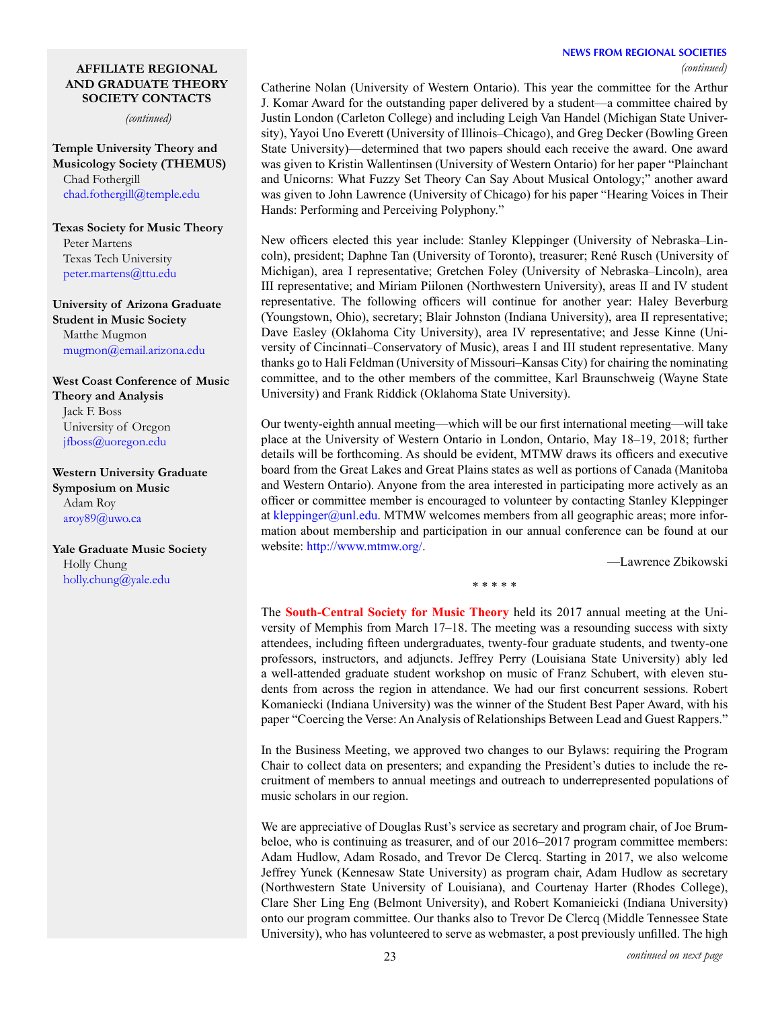## **NEWS FROM REGIONAL SOCIETIES**

*(continued)*

#### **AFFILIATE REGIONAL AND GRADUATE THEORY SOCIETY CONTACTS**

*(continued)*

**Temple University Theory and Musicology Society (THEMUS)** Chad Fothergill [chad.fothergill@temple.edu](mailto:chad.fothergill%40temple.edu?subject=)

**Texas Society for Music Theory** Peter Martens Texas Tech University [peter.martens@ttu.edu](mailto:peter.martens%40ttu.edu?subject=)

**University of Arizona Graduate Student in Music Society** Matthe Mugmon [mugmon@email.arizona.edu](mailto:mugmon%40email.arizona.edu?subject=)

**West Coast Conference of Music Theory and Analysis** Jack F. Boss University of Oregon [jfboss@uoregon.edu](mailto:jfboss%40uoregon.edu%20?subject=)

**Western University Graduate Symposium on Music** Adam Roy [aroy89@uwo.ca](mailto:aroy89%40uwo.ca?subject=)

**Yale Graduate Music Society** Holly Chung [holly.chung@yale.edu](mailto:holly.chung%40yale.edu?subject=)

Catherine Nolan (University of Western Ontario). This year the committee for the Arthur J. Komar Award for the outstanding paper delivered by a student—a committee chaired by Justin London (Carleton College) and including Leigh Van Handel (Michigan State University), Yayoi Uno Everett (University of Illinois–Chicago), and Greg Decker (Bowling Green State University)—determined that two papers should each receive the award. One award was given to Kristin Wallentinsen (University of Western Ontario) for her paper "Plainchant and Unicorns: What Fuzzy Set Theory Can Say About Musical Ontology;" another award was given to John Lawrence (University of Chicago) for his paper "Hearing Voices in Their Hands: Performing and Perceiving Polyphony."

New officers elected this year include: Stanley Kleppinger (University of Nebraska–Lincoln), president; Daphne Tan (University of Toronto), treasurer; René Rusch (University of Michigan), area I representative; Gretchen Foley (University of Nebraska–Lincoln), area III representative; and Miriam Piilonen (Northwestern University), areas II and IV student representative. The following officers will continue for another year: Haley Beverburg (Youngstown, Ohio), secretary; Blair Johnston (Indiana University), area II representative; Dave Easley (Oklahoma City University), area IV representative; and Jesse Kinne (University of Cincinnati–Conservatory of Music), areas I and III student representative. Many thanks go to Hali Feldman (University of Missouri–Kansas City) for chairing the nominating committee, and to the other members of the committee, Karl Braunschweig (Wayne State University) and Frank Riddick (Oklahoma State University).

Our twenty-eighth annual meeting—which will be our first international meeting—will take place at the University of Western Ontario in London, Ontario, May 18–19, 2018; further details will be forthcoming. As should be evident, MTMW draws its officers and executive board from the Great Lakes and Great Plains states as well as portions of Canada (Manitoba and Western Ontario). Anyone from the area interested in participating more actively as an officer or committee member is encouraged to volunteer by contacting Stanley Kleppinger at [kleppinger@unl.edu](mailto:kleppinger%40unl.edu?subject=). MTMW welcomes members from all geographic areas; more information about membership and participation in our annual conference can be found at our website: [http://www.mtmw.org/.](http://www.mtmw.org/)

—Lawrence Zbikowski

\* \* \* \* \*

The **South-Central Society for Music Theory** held its 2017 annual meeting at the University of Memphis from March 17–18. The meeting was a resounding success with sixty attendees, including fifteen undergraduates, twenty-four graduate students, and twenty-one professors, instructors, and adjuncts. Jeffrey Perry (Louisiana State University) ably led a well-attended graduate student workshop on music of Franz Schubert, with eleven students from across the region in attendance. We had our first concurrent sessions. Robert Komaniecki (Indiana University) was the winner of the Student Best Paper Award, with his paper "Coercing the Verse: An Analysis of Relationships Between Lead and Guest Rappers."

In the Business Meeting, we approved two changes to our Bylaws: requiring the Program Chair to collect data on presenters; and expanding the President's duties to include the recruitment of members to annual meetings and outreach to underrepresented populations of music scholars in our region.

We are appreciative of Douglas Rust's service as secretary and program chair, of Joe Brumbeloe, who is continuing as treasurer, and of our 2016–2017 program committee members: Adam Hudlow, Adam Rosado, and Trevor De Clercq. Starting in 2017, we also welcome Jeffrey Yunek (Kennesaw State University) as program chair, Adam Hudlow as secretary (Northwestern State University of Louisiana), and Courtenay Harter (Rhodes College), Clare Sher Ling Eng (Belmont University), and Robert Komanieicki (Indiana University) onto our program committee. Our thanks also to Trevor De Clercq (Middle Tennessee State University), who has volunteered to serve as webmaster, a post previously unfilled. The high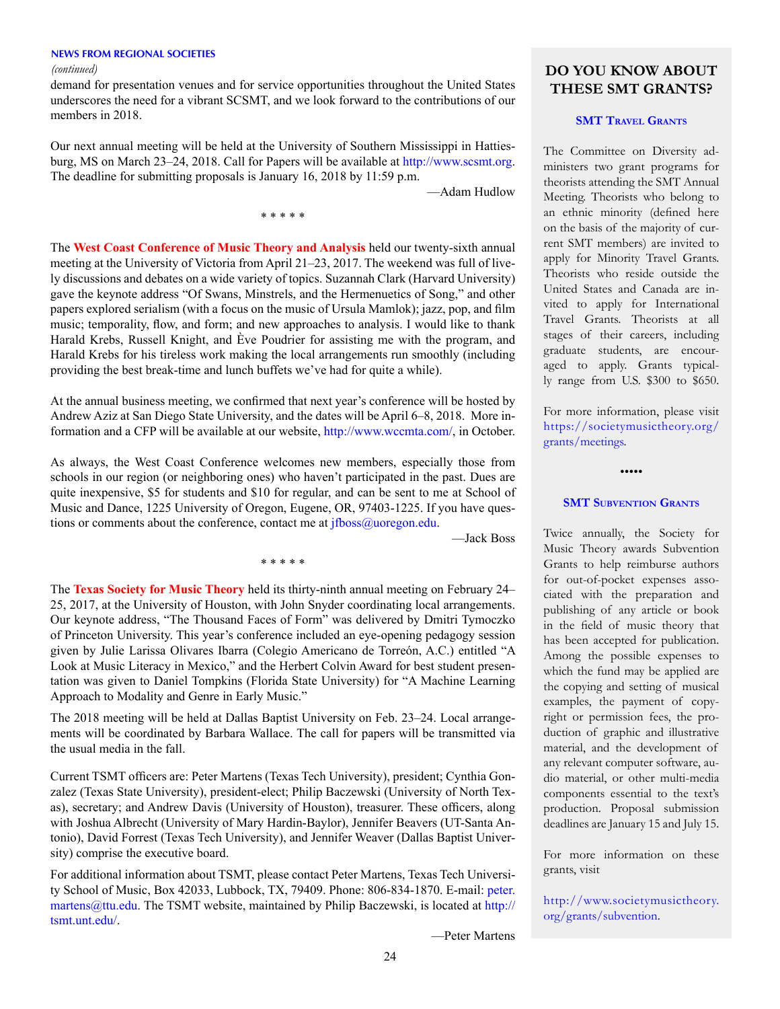#### **NEWS FROM REGIONAL SOCIETIES**

demand for presentation venues and for service opportunities throughout the United States underscores the need for a vibrant SCSMT, and we look forward to the contributions of our members in 2018.

Our next annual meeting will be held at the University of Southern Mississippi in Hattiesburg, MS on March 23–24, 2018. Call for Papers will be available at<http://www.scsmt.org>. The deadline for submitting proposals is January 16, 2018 by 11:59 p.m.

\* \* \* \* \*

—Adam Hudlow

The **West Coast Conference of Music Theory and Analysis** held our twenty-sixth annual meeting at the University of Victoria from April 21–23, 2017. The weekend was full of lively discussions and debates on a wide variety of topics. Suzannah Clark (Harvard University) gave the keynote address "Of Swans, Minstrels, and the Hermenuetics of Song," and other papers explored serialism (with a focus on the music of Ursula Mamlok); jazz, pop, and film music; temporality, flow, and form; and new approaches to analysis. I would like to thank Harald Krebs, Russell Knight, and Ève Poudrier for assisting me with the program, and Harald Krebs for his tireless work making the local arrangements run smoothly (including providing the best break-time and lunch buffets we've had for quite a while).

At the annual business meeting, we confirmed that next year's conference will be hosted by Andrew Aziz at San Diego State University, and the dates will be April 6–8, 2018. More information and a CFP will be available at our website,<http://www.wccmta.com/>, in October.

As always, the West Coast Conference welcomes new members, especially those from schools in our region (or neighboring ones) who haven't participated in the past. Dues are quite inexpensive, \$5 for students and \$10 for regular, and can be sent to me at School of Music and Dance, 1225 University of Oregon, Eugene, OR, 97403-1225. If you have questions or comments about the conference, contact me at *jfboss@uoregon.edu.* 

\* \* \* \* \*

—Jack Boss

The **Texas Society for Music Theory** held its thirty-ninth annual meeting on February 24– 25, 2017, at the University of Houston, with John Snyder coordinating local arrangements. Our keynote address, "The Thousand Faces of Form" was delivered by Dmitri Tymoczko of Princeton University. This year's conference included an eye-opening pedagogy session given by Julie Larissa Olivares Ibarra (Colegio Americano de Torreón, A.C.) entitled "A Look at Music Literacy in Mexico," and the Herbert Colvin Award for best student presentation was given to Daniel Tompkins (Florida State University) for "A Machine Learning Approach to Modality and Genre in Early Music."

The 2018 meeting will be held at Dallas Baptist University on Feb. 23–24. Local arrangements will be coordinated by Barbara Wallace. The call for papers will be transmitted via the usual media in the fall.

Current TSMT officers are: Peter Martens (Texas Tech University), president; Cynthia Gonzalez (Texas State University), president-elect; Philip Baczewski (University of North Texas), secretary; and Andrew Davis (University of Houston), treasurer. These officers, along with Joshua Albrecht (University of Mary Hardin-Baylor), Jennifer Beavers (UT-Santa Antonio), David Forrest (Texas Tech University), and Jennifer Weaver (Dallas Baptist University) comprise the executive board.

For additional information about TSMT, please contact Peter Martens, Texas Tech University School of Music, Box 42033, Lubbock, TX, 79409. Phone: 806-834-1870. E-mail: [peter.](mailto:peter.martens@ttu.edu)  $martens@ttu.edu.$  The TSMT website, maintained by Philip Baczewski, is located at  $http://$ [tsmt.unt.edu/.](http://tsmt.unt.edu/)

—Peter Martens

*(continued)* **DO YOU KNOW ABOUT THESE SMT GRANTS?**

#### **SMT TRAVEL GRANTS**

The Committee on Diversity administers two grant programs for theorists attending the SMT Annual Meeting. Theorists who belong to an ethnic minority (defined here on the basis of the majority of current SMT members) are invited to apply for Minority Travel Grants. Theorists who reside outside the United States and Canada are invited to apply for International Travel Grants. Theorists at all stages of their careers, including graduate students, are encouraged to apply. Grants typically range from U.S. \$300 to \$650.

For more information, please visit [https://societymusictheory.org/](https://societymusictheory.org/grants/meetings) [grants/meetings](https://societymusictheory.org/grants/meetings).

**SMT SUBVENTION GRANTS** 

•••••

Twice annually, the Society for Music Theory awards Subvention Grants to help reimburse authors for out-of-pocket expenses associated with the preparation and publishing of any article or book in the field of music theory that has been accepted for publication. Among the possible expenses to which the fund may be applied are the copying and setting of musical examples, the payment of copyright or permission fees, the production of graphic and illustrative material, and the development of any relevant computer software, audio material, or other multi-media components essential to the text's production. Proposal submission deadlines are January 15 and July 15.

For more information on these grants, visit

[http://www.societymusictheory.](https://societymusictheory.org/grants/subvention) [org/grants/subvention](https://societymusictheory.org/grants/subvention).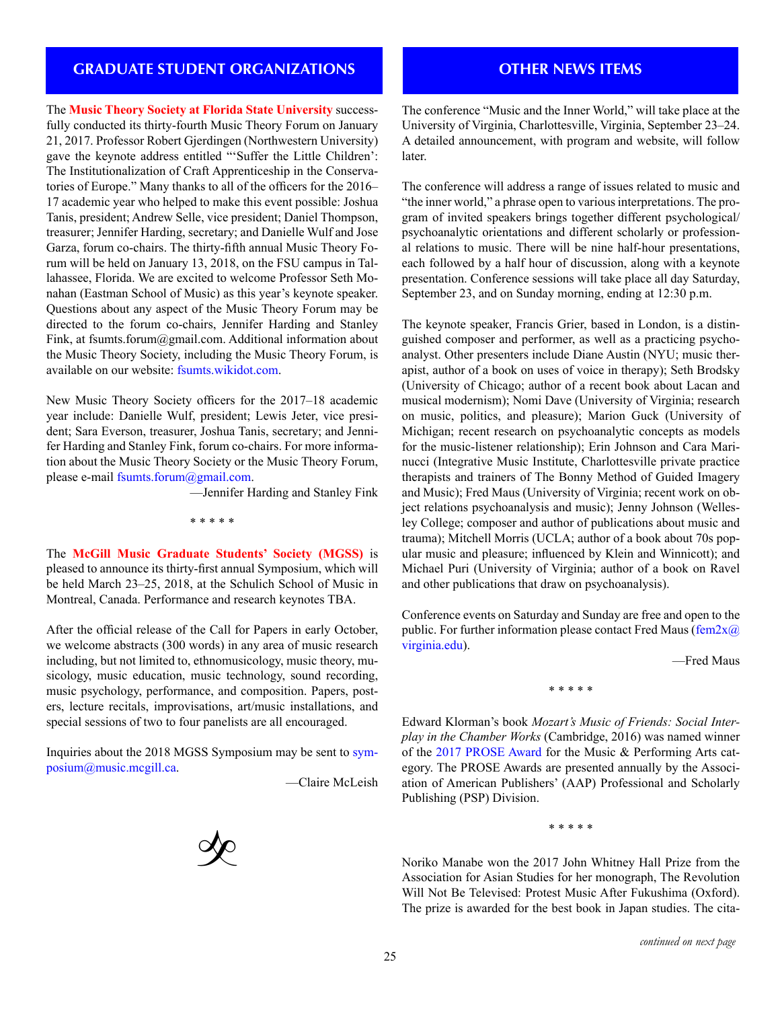## **GRADUATE STUDENT ORGANIZATIONS**

The **Music Theory Society at Florida State University** successfully conducted its thirty-fourth Music Theory Forum on January 21, 2017. Professor Robert Gjerdingen (Northwestern University) gave the keynote address entitled "'Suffer the Little Children': The Institutionalization of Craft Apprenticeship in the Conservatories of Europe." Many thanks to all of the officers for the 2016– 17 academic year who helped to make this event possible: Joshua Tanis, president; Andrew Selle, vice president; Daniel Thompson, treasurer; Jennifer Harding, secretary; and Danielle Wulf and Jose Garza, forum co-chairs. The thirty-fifth annual Music Theory Forum will be held on January 13, 2018, on the FSU campus in Tallahassee, Florida. We are excited to welcome Professor Seth Monahan (Eastman School of Music) as this year's keynote speaker. Questions about any aspect of the Music Theory Forum may be directed to the forum co-chairs, Jennifer Harding and Stanley Fink, at fsumts.forum@gmail.com. Additional information about the Music Theory Society, including the Music Theory Forum, is available on our website: [fsumts.wikidot.com.](http://fsumts.wikidot.com)

New Music Theory Society officers for the 2017–18 academic year include: Danielle Wulf, president; Lewis Jeter, vice president; Sara Everson, treasurer, Joshua Tanis, secretary; and Jennifer Harding and Stanley Fink, forum co-chairs. For more information about the Music Theory Society or the Music Theory Forum, please e-mail [fsumts.forum@gmail.com](mailto:fsumts.forum%40gmail.com?subject=).

—Jennifer Harding and Stanley Fink

\* \* \* \* \*

The **McGill Music Graduate Students' Society (MGSS)** is pleased to announce its thirty-first annual Symposium, which will be held March 23–25, 2018, at the Schulich School of Music in Montreal, Canada. Performance and research keynotes TBA.

After the official release of the Call for Papers in early October, we welcome abstracts (300 words) in any area of music research including, but not limited to, ethnomusicology, music theory, musicology, music education, music technology, sound recording, music psychology, performance, and composition. Papers, posters, lecture recitals, improvisations, art/music installations, and special sessions of two to four panelists are all encouraged.

Inquiries about the 2018 MGSS Symposium may be sent to [sym](mailto:symposium%40music.mcgill.ca?subject=)[posium@music.mcgill.ca](mailto:symposium%40music.mcgill.ca?subject=).

—Claire McLeish



## **OTHER NEWS ITEMS**

The conference "Music and the Inner World," will take place at the University of Virginia, Charlottesville, Virginia, September 23–24. A detailed announcement, with program and website, will follow later.

The conference will address a range of issues related to music and "the inner world," a phrase open to various interpretations. The program of invited speakers brings together different psychological/ psychoanalytic orientations and different scholarly or professional relations to music. There will be nine half-hour presentations, each followed by a half hour of discussion, along with a keynote presentation. Conference sessions will take place all day Saturday, September 23, and on Sunday morning, ending at 12:30 p.m.

The keynote speaker, Francis Grier, based in London, is a distinguished composer and performer, as well as a practicing psychoanalyst. Other presenters include Diane Austin (NYU; music therapist, author of a book on uses of voice in therapy); Seth Brodsky (University of Chicago; author of a recent book about Lacan and musical modernism); Nomi Dave (University of Virginia; research on music, politics, and pleasure); Marion Guck (University of Michigan; recent research on psychoanalytic concepts as models for the music-listener relationship); Erin Johnson and Cara Marinucci (Integrative Music Institute, Charlottesville private practice therapists and trainers of The Bonny Method of Guided Imagery and Music); Fred Maus (University of Virginia; recent work on object relations psychoanalysis and music); Jenny Johnson (Wellesley College; composer and author of publications about music and trauma); Mitchell Morris (UCLA; author of a book about 70s popular music and pleasure; influenced by Klein and Winnicott); and Michael Puri (University of Virginia; author of a book on Ravel and other publications that draw on psychoanalysis).

Conference events on Saturday and Sunday are free and open to the public. For further information please contact Fred Maus ( $f_{\text{em}}/2x$ [virginia.edu](mailto:fem2x%40virginia.edu?subject=)).

—Fred Maus

\* \* \* \* \*

Edward Klorman's book *Mozart's Music of Friends: Social Interplay in the Chamber Works* (Cambridge, 2016) was named winner of the [2017 PROSE Award](https://proseawards.com/winners/) for the Music & Performing Arts category. The PROSE Awards are presented annually by the Association of American Publishers' (AAP) Professional and Scholarly Publishing (PSP) Division.

\* \* \* \* \*

Noriko Manabe won the 2017 John Whitney Hall Prize from the Association for Asian Studies for her monograph, The Revolution Will Not Be Televised: Protest Music After Fukushima (Oxford). The prize is awarded for the best book in Japan studies. The cita-